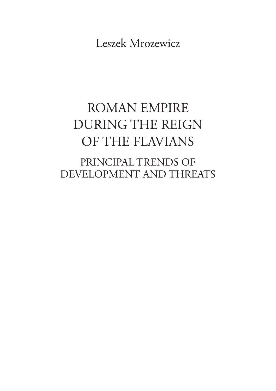Leszek Mrozewicz

# ROMAN EMPIRE DURING THE REIGN OF THE FLAVIANS

PRINCIPAL TRENDS OF DEVELOPMENT AND THREATS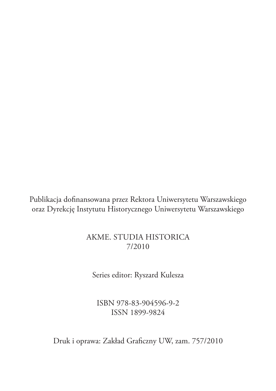Publikacja dofinansowana przez Rektora Uniwersytetu Warszawskiego oraz Dyrekcję Instytutu Historycznego Uniwersytetu Warszawskiego

## Akme. Studia historica 7/2010

Series editor: Ryszard Kulesza

ISBN 978-83-904596-9-2 ISSN 1899-9824

Druk i oprawa: Zakład Graficzny UW, zam. 757/2010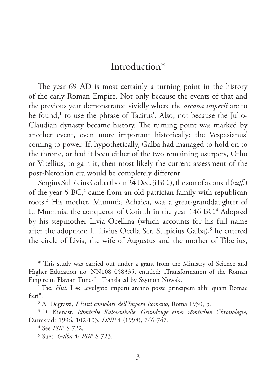## Introduction\*

The year 69 AD is most certainly a turning point in the history of the early Roman Empire. Not only because the events of that and the previous year demonstrated vividly where the *arcana imperii* are to be found,<sup>1</sup> to use the phrase of Tacitus'. Also, not because the Julio-Claudian dynasty became history. The turning point was marked by another event, even more important historically: the Vespasianus' coming to power. If, hypothetically, Galba had managed to hold on to the throne, or had it been either of the two remaining usurpers, Otho or Vitellius, to gain it, then most likely the current assessment of the post-Neronian era would be completely different.

Sergius Sulpicius Galba (born 24 Dec. 3 BC.), the son of a consul (*suff.*) of the year 5 BC,<sup>2</sup> came from an old patrician family with republican roots.3 His mother, Mummia Achaica, was a great-granddaughter of L. Mummis, the conqueror of Corinth in the year 146 BC.<sup>4</sup> Adopted by his stepmother Livia Ocellina (which accounts for his full name after the adoption: L. Livius Ocella Ser. Sulpicius Galba),<sup>5</sup> he entered the circle of Livia, the wife of Augustus and the mother of Tiberius,

<sup>\*</sup> This study was carried out under a grant from the Ministry of Science and Higher Education no. NN108 058335, entitled: "Transformation of the Roman Empire in Flavian Times". Translated by Szymon Nowak.

<sup>&</sup>lt;sup>1</sup> Tac. *Hist*. I 4: "evulgato imperii arcano posse principem alibi quam Romae fieri".

<sup>2</sup> A. Degrassi, *I Fasti consolari dell'Impero Romano*, Roma 1950, 5.

<sup>3</sup> D. Kienast, *Römische Kaisertabelle. Grundzüge einer römischen Chronologie*, Darmstadt 1996, 102-103; *DNP* 4 (1998), 746-747.

<sup>4</sup> See *PIR*<sup>1</sup> S 722.

<sup>5</sup> Suet. *Galba* 4; *PIR*<sup>1</sup> S 723.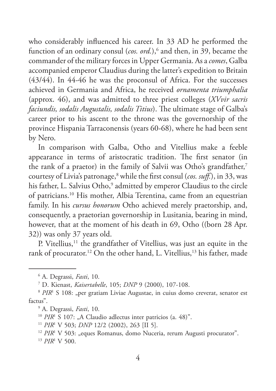who considerably influenced his career. In 33 AD he performed the function of an ordinary consul (*cos. ord.*),<sup>6</sup> and then, in 39, became the commander of the military forces in Upper Germania. As a *comes*, Galba accompanied emperor Claudius during the latter's expedition to Britain (43/44). In 44-46 he was the proconsul of Africa. For the successes achieved in Germania and Africa, he received *ornamenta triumphalia* (approx. 46), and was admitted to three priest colleges (*XVvir sacris faciundis, sodalis Augustalis, sodalis Titius*). The ultimate stage of Galba's career prior to his ascent to the throne was the governorship of the province Hispania Tarraconensis (years 60-68), where he had been sent by Nero.

In comparison with Galba, Otho and Vitellius make a feeble appearance in terms of aristocratic tradition. The first senator (in the rank of a praetor) in the family of Salvii was Otho's grandfather,<sup>7</sup> courtesy of Livia's patronage,<sup>8</sup> while the first consul (*cos. suff.*), in 33, was his father, L. Salvius Otho,<sup>9</sup> admitted by emperor Claudius to the circle of patricians.10 His mother, Albia Terentina, came from an equestrian family. In his *cursus honorum* Otho achieved merely praetorship, and, consequently, a praetorian governorship in Lusitania, bearing in mind, however, that at the moment of his death in 69, Otho ((born 28 Apr. 32)) was only 37 years old.

P. Vitellius,<sup>11</sup> the grandfather of Vitellius, was just an equite in the rank of procurator.<sup>12</sup> On the other hand, L. Vitellius,<sup>13</sup> his father, made

- <sup>12</sup> PIR<sup>1</sup> V 503: "eques Romanus, domo Nuceria, rerum Augusti procurator".
- <sup>13</sup> *PIR*<sup>1</sup> V 500.

<sup>6</sup> A. Degrassi, *Fasti*, 10.

<sup>7</sup> D. Kienast, *Kaisertabelle*, 105; *DNP* 9 (2000), 107-108.

<sup>&</sup>lt;sup>8</sup> PIR<sup>1</sup> S 108: "per gratiam Liviae Augustae, in cuius domo creverat, senator est factus".

<sup>9</sup> A. Degrassi, *Fasti*, 10.

<sup>&</sup>lt;sup>10</sup> *PIR*<sup>1</sup> S 107: "A Claudio adlectus inter patricios (a. 48)".<br><sup>11</sup> *PIR*<sup>1</sup> V 503; *DNP* 12/2 (2002), 263 [II 5].

<sup>&</sup>lt;sup>11</sup> *PIR*<sup>1</sup> V 503; *DNP* 12/2 (2002), 263 [II 5].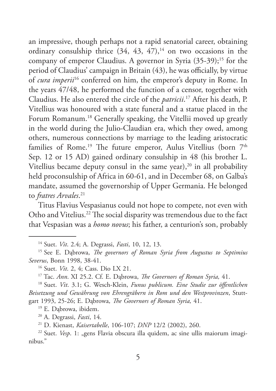an impressive, though perhaps not a rapid senatorial career, obtaining ordinary consulship thrice  $(34, 43, 47),$ <sup>14</sup> on two occasions in the company of emperor Claudius. A governor in Syria  $(35-39)$ ;<sup>15</sup> for the period of Claudius' campaign in Britain (43), he was officially, by virtue of *cura imperii*16 conferred on him, the emperor's deputy in Rome. In the years 47/48, he performed the function of a censor, together with Claudius. He also entered the circle of the *patricii*. 17 After his death, P. Vitellius was honoured with a state funeral and a statue placed in the Forum Romanum.<sup>18</sup> Generally speaking, the Vitellii moved up greatly in the world during the Julio-Claudian era, which they owed, among others, numerous connections by marriage to the leading aristocratic families of Rome.<sup>19</sup> The future emperor, Aulus Vitellius (born 7<sup>th</sup> Sep. 12 or 15 AD) gained ordinary consulship in 48 (his brother L. Vitellius became deputy consul in the same year), $20$  in all probability held proconsulship of Africa in 60-61, and in December 68, on Galba's mandate, assumed the governorship of Upper Germania. He belonged to *fratres Arvales*. 21

Titus Flavius Vespasianus could not hope to compete, not even with Otho and Vitelius.<sup>22</sup> The social disparity was tremendous due to the fact that Vespasian was a *homo novus*; his father, a centurion's son, probably

<sup>19</sup> E. Dąbrowa, ibidem. 20 A. Degrassi, *Fasti*, 14.

<sup>21</sup> D. Kienast, *Kaisertabelle*, 106-107; *DNP* 12/2 (2002), 260.

<sup>22</sup> Suet. *Vesp.* 1: "gens Flavia obscura illa quidem, ac sine ullis maiorum imaginibus."

<sup>14</sup> Suet. *Vit*. 2.4; A. Degrassi, *Fasti*, 10, 12, 13.

<sup>15</sup> See E. Dąbrowa, *The governors of Roman Syria from Augustus to Septimius Severus*, Bonn 1998, 38-41.

<sup>&</sup>lt;sup>17</sup> Tac. *Ann.* XI 25.2. Cf. E. Dąbrowa, *The Governors of Roman Syria*, 41.

<sup>18</sup> Suet. *Vit*. 3.1; G. Wesch-Klein, *Funus publicum. Eine Studie zur öffentlichen Beisetzung und Gewährung von Ehrengräbern in Rom und den Westprovinzen*, Stuttgart 1993, 25-26; E. Dąbrowa, *The Governors of Roman Syria,* 41.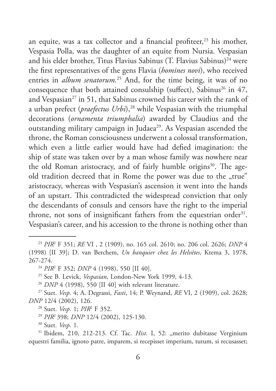an equite, was a tax collector and a financial profiteer, $23$  his mother, Vespasia Polla, was the daughter of an equite from Nursia. Vespasian and his elder brother, Titus Flavius Sabinus (T. Flavius Sabinus)<sup>24</sup> were the first representatives of the gens Flavia (*homines novi*), who received entries in *album senatorum*.<sup>25</sup> And, for the time being, it was of no consequence that both attained consulship (suffect), Sabinus<sup>26</sup> in  $47$ , and Vespasian<sup>27</sup> in 51, that Sabinus crowned his career with the rank of a urban prefect (*praefectus Urbi*),<sup>28</sup> while Vespasian with the triumphal decorations (*ornamenta triumphalia*) awarded by Claudius and the outstanding military campaign in Judaea<sup>29</sup>. As Vespasian ascended the throne, the Roman consciousness underwent a colossal transformation, which even a little earlier would have had defied imagination: the ship of state was taken over by a man whose family was nowhere near the old Roman aristocracy, and of fairly humble origins<sup>30</sup>. The ageold tradition decreed that in Rome the power was due to the "true" aristocracy, whereas with Vespasian's ascension it went into the hands of an upstart. This contradicted the widespread conviction that only the descendants of consuls and censors have the right to the imperial throne, not sons of insignificant fathers from the equestrian order<sup>31</sup>. Vespasian's career, and his accession to the throne is nothing other than

<sup>31</sup> Ibidem, 210, 212-213. Cf. Tac. *Hist*. I, 52: "merito dubitasse Verginium equestri familia, ignoto patre, imparem, si recepisset imperium, tutum, si recusasset;

<sup>23</sup> *PIR*<sup>2</sup> F 351; *RE* VI , 2 (1909), no. 165 col. 2610; no. 206 col. 2626; *DNP* 4 (1998) [II 39]; D. van Berchem, *Un banquier chez les Helvètes*, Ktema 3, 1978, 267-274.

<sup>24</sup> *PIR*<sup>2</sup> F 352; *DNP* 4 (1998), 550 [II 40].

<sup>25</sup> See B. Levick, *Vespasian*, London-New York 1999, 4-13.

<sup>26</sup> *DNP* 4 (1998), 550 [II 40] with relevant literature.

<sup>27</sup> Suet. *Vesp*. 4; A. Degrassi, *Fasti*, 14; P. Weynand, *RE* VI, 2 (1909), col. 2628; *DNP* 12/4 (2002), 126.

<sup>28</sup> Suet. *Vesp*. 1; *PIR*<sup>2</sup> F 352.

<sup>29</sup> *PIR*<sup>2</sup> 398; *DNP* 12/4 (2002), 125-130.

<sup>30</sup> Suet. *Vesp*. 1.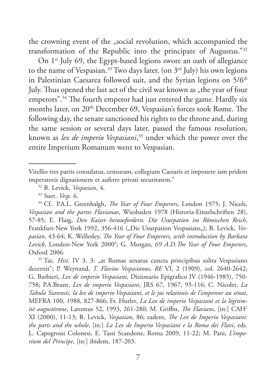the crowning event of the "social revolution, which accompanied the transformation of the Republic into the principate of Augustus."32

On 1<sup>st</sup> July 69, the Egypt-based legions swore an oath of allegiance to the name of Vespasian.<sup>33</sup> Two days later, (on  $3<sup>rd</sup>$  July) his own legions in Palestinian Caesarea followed suit, and the Syrian legions on  $5/6<sup>th</sup>$ July. Thus opened the last act of the civil war known as "the year of four emperors".34 The fourth emperor had just entered the game. Hardly six months later, on 20<sup>th</sup> December 69, Vespasian's forces took Rome. The following day, the senate sanctioned his rights to the throne and, during the same session or several days later, passed the famous resolution, known as *lex de imperio Vespasiani*, 35 under which the power over the entire Imperium Romanum went to Vespasian.

<sup>35</sup> Tac. *Hist*. IV 3. 3: "at Romae senatus cuncta principibus solita Vespasiano decernit"; P. Weynand, *T. Flavius Vespasianus*, *RE* VI, 2 (1909), col. 2640-2642; G. Barbieri, *Lex de imperio Vespasiani*, Dizionario Epigrafico IV (1946-1985), 750- 758; P.A.Brunt, *Lex de imperio Vespasiani*, JRS 67, 1967, 95-116; C. Nicolet, *La Tabula Siarensis, la lex de imperio Vespasiani, et le jus relationis de l'empereur au sénat*, MEFRA 100, 1988, 827-866; Fr. Hurlet, *La Lex de imperio Vespasiani et la légitimité augustéenne*, Latomus 52, 1993, 261-280; M. Griffin, *The Flavians*, [in:] CAH2 XI (2000), 11-13; B. Levick, *Vespasian*, 86; eadem, *The Lex de Imperio Vespasiani: the parts and the whole*, [in:] *La Lex de Imperio Vespasiani e la Roma dei Flavi*, eds. L. Capogrossi Colonesi, E. Tassi Scandone, Roma 2009, 11-22; M. Pani, *L'imperium del Principe*, [in:] ibidem, 187-203.

Vitellio tres patris consulatus, censuram, collegium Caesaris et imponere iam pridem imperatoris dignationem et auferre privati securitatem." 32 B. Levick, *Vespasian*, 4. 33 Suet. *Vesp*. 6.

<sup>34</sup> Cf.. P.A.L. Greenhalgh, *The Year of Four Emperors*, London 1975; J. Nicols, *Vespasian and the partes Flavianae*, Wiesbaden 1978 (Historia-Einzelschriften 28), 57-85; E. Flaig, *Den Kaiser herausfordern. Die Usurpation im Römischen Reich*, Frankfurt-New York 1992, 356-416 ("Die Usurpation Vespasians"); B. Levick, *Vespasian*, 43-64; K. Wellesley, *The Year of Four Emperors, with introduction by Barbara Levick*, London-New York 20003 ; G. Morgan, *69 A.D.The Year of Four Emperors*, Oxford 2006.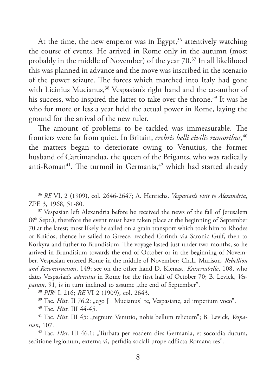At the time, the new emperor was in Egypt, $36$  attentively watching the course of events. He arrived in Rome only in the autumn (most probably in the middle of November) of the year 70.37 In all likelihood this was planned in advance and the move was inscribed in the scenario of the power seizure. The forces which marched into Italy had gone with Licinius Mucianus,<sup>38</sup> Vespasian's right hand and the co-author of his success, who inspired the latter to take over the throne.<sup>39</sup> It was he who for more or less a year held the actual power in Rome, laying the ground for the arrival of the new ruler.

The amount of problems to be tackled was immeasurable. The frontiers were far from quiet. In Britain, *crebris belli civilis rumoribus*, 40 the matters began to deteriorate owing to Venutius, the former husband of Cartimandua, the queen of the Brigants, who was radically anti-Roman<sup>41</sup>. The turmoil in Germania,<sup>42</sup> which had started already

<sup>38</sup> *PIR*<sup>2</sup> L 216; *RE* VI 2 (1909), col. 2643.

<sup>39</sup> Tac. *Hist*. II 76.2: "ego [= Mucianus] te, Vespasiane, ad imperium voco".

<sup>40</sup> Tac. *Hist*. III 44-45.

<sup>41</sup> Tac. *Hist*. III 45: "regnum Venutio, nobis bellum relictum"; B. Levick, *Vespasian*, 107.

<sup>42</sup> Tac. *Hist*. III 46.1: "Turbata per eosdem dies Germania, et socordia ducum, seditione legionum, externa vi, perfidia sociali prope adflicta Romana res".

<sup>36</sup> *RE* VI, 2 (1909), col. 2646-2647; A. Henrichs, *Vespasian's visit to Alexandria*, ZPE 3, 1968, 51-80.

<sup>&</sup>lt;sup>37</sup> Vespasian left Alexandria before he received the news of the fall of Jerusalem (8th Sept.), therefore the event must have taken place at the beginning of September 70 at the latest; most likely he sailed on a grain transport which took him to Rhodes or Knidos; thence he sailed to Greece, reached Corinth via Saronic Gulf, then to Korkyra and futher to Brundisium. The voyage lasted just under two months, so he arrived in Brundisium towards the end of October or in the beginning of November. Vespasian entered Rome in the middle of November; Ch.L. Murison, *Rebellion and Reconstruction*, 149; see on the other hand D. Kienast, *Kaisertabelle*, 108, who dates Vespasian's *adventus* in Rome for the first half of October 70; B. Levick, *Vespasian*, 91, is in turn inclined to assume "the end of September".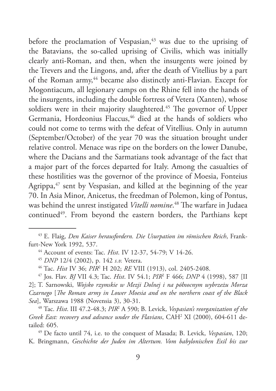before the proclamation of Vespasian,<sup>43</sup> was due to the uprising of the Batavians, the so-called uprising of Civilis, which was initially clearly anti-Roman, and then, when the insurgents were joined by the Trevers and the Lingons, and, after the death of Vitellius by a part of the Roman army,<sup>44</sup> became also distinctly anti-Flavian. Except for Mogontiacum, all legionary camps on the Rhine fell into the hands of the insurgents, including the double fortress of Vetera (Xanten), whose soldiers were in their majority slaughtered.<sup>45</sup> The governor of Upper Germania, Hordeonius Flaccus,<sup>46</sup> died at the hands of soldiers who could not come to terms with the defeat of Vitellius. Only in autumn (September/October) of the year 70 was the situation brought under relative control. Menace was ripe on the borders on the lower Danube, where the Dacians and the Sarmatians took advantage of the fact that a major part of the forces departed for Italy. Among the casualties of these hostilities was the governor of the province of Moesia, Fonteius Agrippa, $47$  sent by Vespasian, and killed at the beginning of the year 70. In Asia Minor, Anicetus, the freedman of Polemon, king of Pontus, was behind the unrest instigated *Vitelli nomine*. 48 The warfare in Judaea continued<sup>49</sup>. From beyond the eastern borders, the Parthians kept

<sup>47</sup> Jos. Flav. *BJ* VII 4.3; Tac. *Hist*. IV 54.1; *PIR*<sup>2</sup> F 466; *DNP* 4 (1998), 587 [II 2]; T. Sarnowski, *Wojsko rzymskie w Mezji Dolnej i na północnym wybrzeżu Morza Czarnego* [*The Roman army in Lower Moesia and on the northern coast of the Black Sea*], Warszawa 1988 (Novensia 3), 30-31.

<sup>48</sup> Tac. *Hist*. III 47.2-48.3; *PIR*<sup>2</sup> A 590; B. Levick, *Vespasian's reorganization of the* Greek East: recovery and advance under the Flavians, CAH<sup>2</sup> XI (2000), 604-611 detailed: 605.

<sup>49</sup> De facto until 74, i.e. to the conquest of Masada; B. Levick, *Vespasian*, 120; K. Bringmann, *Geschichte der Juden im Altertum. Vom babylonischen Exil bis zur* 

<sup>43</sup> E. Flaig, *Den Kaiser herausfordern. Die Usurpation im römischen Reich*, Frankfurt-New York 1992, 537.

<sup>44</sup> Account of events: Tac. *Hist*. IV 12-37, 54-79; V 14-26.

<sup>45</sup> *DNP* 12/4 (2002), p. 142 *s.v.* Vetera.

<sup>46</sup> Tac. *Hist* IV 36; *PIR*<sup>2</sup> H 202; *RE* VIII (1913), col. 2405-2408.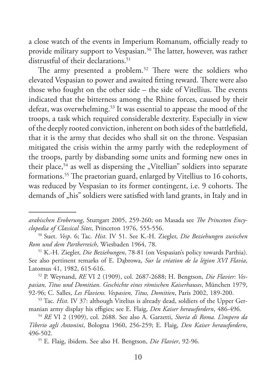a close watch of the events in Imperium Romanum, officially ready to provide military support to Vespasian.<sup>50</sup> The latter, however, was rather distrustful of their declarations.<sup>51</sup>

The army presented a problem.<sup>52</sup> There were the soldiers who elevated Vespasian to power and awaited fitting reward. There were also those who fought on the other side – the side of Vitellius. The events indicated that the bitterness among the Rhine forces, caused by their defeat, was overwhelming.<sup>53</sup> It was essential to appease the mood of the troops, a task which required considerable dexterity. Especially in view of the deeply rooted conviction, inherent on both sides of the battlefield, that it is the army that decides who shall sit on the throne. Vespasian mitigated the crisis within the army partly with the redeployment of the troops, partly by disbanding some units and forming new ones in their place,<sup>54</sup> as well as dispersing the "Vitellian" soldiers into separate formations.55 The praetorian guard, enlarged by Vitellius to 16 cohorts, was reduced by Vespasian to its former contingent, i.e. 9 cohorts. The demands of "his" soldiers were satisfied with land grants, in Italy and in

*arabischen Eroberung*, Stuttgart 2005, 259-260; on Masada see *The Princeton Encyclopedia of Classical Sites*, Princeton 1976, 555-556.

<sup>50</sup> Suet. *Vesp*. 6; Tac. *Hist*. IV 51. See K.-H. Ziegler, *Die Beziehungen zwischen Rom und dem Partherreich*, Wiesbaden 1964, 78.

<sup>51</sup> K.-H. Ziegler, *Die Beziehungen*, 78-81 (on Vespasian's policy towards Parthia). See also pertinent remarks of E. Dąbrowa, *Sur la création de la légion XVI Flavia*, Latomus 41, 1982, 615-616.

<sup>52</sup> P. Weynand, *RE* VI 2 (1909), col. 2687-2688; H. Bengtson, *Die Flavier: Vespasian, Titus und Domitian*. *Geschichte eines römischen Kaiserhauses*, München 1979, 92-96; C. Salles, *Les Flaviens. Vespasien, Titus, Domitien*, Paris 2002, 189-200.

<sup>53</sup> Tac. *Hist*. IV 37: although Vitelius is already dead, soldiers of the Upper Germanian army display his effigies; see E. Flaig, *Den Kaiser herausfordern*, 486-496.

<sup>54</sup> *RE* VI 2 (1909), col. 2688. See also A. Garzetti, *Storia di Roma. L'impero da Tiberio agli Antonini*, Bologna 1960, 256-259; E. Flaig, *Den Kaiser herausfordern*, 496-502.

<sup>55</sup> E. Flaig, ibidem. See also H. Bengtson, *Die Flavier*, 92-96.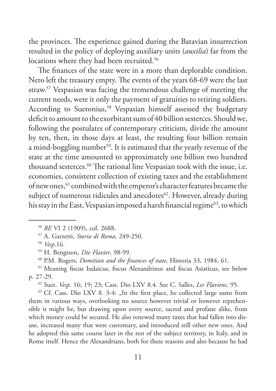the provinces. The experience gained during the Batavian insurrection resulted in the policy of deploying auxiliary units (*auxilia*) far from the locations where they had been recruited.<sup>56</sup>

The finances of the state were in a more than deplorable condition. Nero left the treasury empty. The events of the years 68-69 were the last straw.57 Vespasian was facing the tremendous challenge of meeting the current needs, were it only the payment of gratuities to retiring soldiers. According to Suetonius,<sup>58</sup> Vespasian himself assessed the budgetary deficit to amount to the exorbitant sum of 40 billion sesterces. Should we, following the postulates of contemporary criticism, divide the amount by ten, then, in those days at least, the resulting four billion remain a mind-boggling number<sup>59</sup>. It is estimated that the yearly revenue of the state at the time amounted to approximately one billion two hundred thousand sesterces.<sup>60</sup> The rational line Vespasian took with the issue, i.e. economies, consistent collection of existing taxes and the establishment of new ones, <sup>61</sup> combined with the emperor's character features became the subject of numerous ridicules and anecdotes<sup>62</sup>. However, already during his stay in the East, Vespasian imposed a harsh financial regime<sup>63</sup>, to which

<sup>62</sup> Suet. *Vesp*. 16; 19; 23; Cass. Dio LXV 8.4. See C. Salles, *Les Flaviens*, 95.

 $63$  Cf. Cass. Dio LXV 8. 3-4: "In the first place, he collected large sums from them in various ways, overlooking no source however trivial or however reprehensible it might be, but drawing upon every source, sacred and profane alike, from which money could be secured. He also renewed many taxes that had fallen into disuse, increased many that were customary, and introduced still other new ones. And he adopted this same course later in the rest of the subject territory, in Italy, and in Rome itself. Hence the Alexandrians, both for these reasons and also because he had

<sup>56</sup> *RE* VI 2 (1909), col. 2688.

<sup>57</sup> A. Garzetti, *Storia di Roma*, 249-250.

<sup>58</sup> *Vesp*.16.

<sup>59</sup> H. Bengtson, *Die Flavier*, 98-99.

<sup>60</sup> P.M. Rogers, *Domitian and the finances of state*, Historia 33, 1984, 61.

<sup>61</sup> Meaning fiscus Iudaicus, fiscus Alexandrinus and fiscus Asiaticus, see below p. 27-29.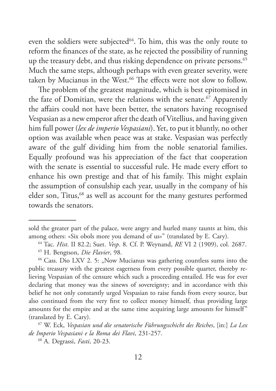even the soldiers were subjected<sup>64</sup>. To him, this was the only route to reform the finances of the state, as he rejected the possibility of running up the treasury debt, and thus risking dependence on private persons.<sup>65</sup> Much the same steps, although perhaps with even greater severity, were taken by Mucianus in the West.<sup>66</sup> The effects were not slow to follow.

The problem of the greatest magnitude, which is best epitomised in the fate of Domitian, were the relations with the senate.<sup>67</sup> Apparently the affairs could not have been better, the senators having recognised Vespasian as a new emperor after the death of Vitellius, and having given him full power (*lex de imperio Vespasiani*). Yet, to put it bluntly, no other option was available when peace was at stake. Vespasian was perfectly aware of the gulf dividing him from the noble senatorial families. Equally profound was his appreciation of the fact that cooperation with the senate is essential to successful rule. He made every effort to enhance his own prestige and that of his family. This might explain the assumption of consulship each year, usually in the company of his elder son, Titus,<sup>68</sup> as well as account for the many gestures performed towards the senators.

<sup>68</sup> A. Degrassi, *Fasti*, 20-23.

sold the greater part of the palace, were angry and hurled many taunts at him, this among others: «Six obols more you demand of us»" (translated by E. Cary).

<sup>&</sup>lt;sup>64</sup> Tac. *Hist*. II 82.2; Suet. *Vesp.* 8. Cf. P. Weynand, *RE* VI 2 (1909), col. 2687.

<sup>65</sup> H. Bengtson, *Die Flavier*, 98.

<sup>&</sup>lt;sup>66</sup> Cass. Dio LXV 2. 5: "Now Mucianus was gathering countless sums into the public treasury with the greatest eagerness from every possible quarter, thereby relieving Vespasian of the censure which such a proceeding entailed. He was for ever declaring that money was the sinews of sovereignty; and in accordance with this belief he not only constantly urged Vespasian to raise funds from every source, but also continued from the very first to collect money himself, thus providing large amounts for the empire and at the same time acquiring large amounts for himself" (translated by E. Cary).

<sup>67</sup> W. Eck, *Vespasian und die senatorische Führungsschicht des Reiches*, [in:] *La Lex de Imperio Vespasiani e la Roma dei Flavi*, 231-257.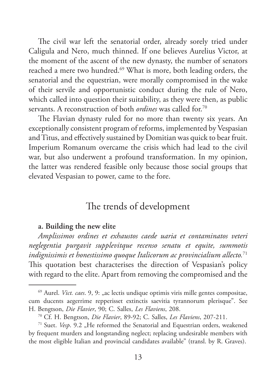The civil war left the senatorial order, already sorely tried under Caligula and Nero, much thinned. If one believes Aurelius Victor, at the moment of the ascent of the new dynasty, the number of senators reached a mere two hundred.<sup>69</sup> What is more, both leading orders, the senatorial and the equestrian, were morally compromised in the wake of their servile and opportunistic conduct during the rule of Nero, which called into question their suitability, as they were then, as public servants. A reconstruction of both *ordines* was called for.70

The Flavian dynasty ruled for no more than twenty six years. An exceptionally consistent program of reforms, implemented by Vespasian and Titus, and effectively sustained by Domitian was quick to bear fruit. Imperium Romanum overcame the crisis which had lead to the civil war, but also underwent a profound transformation. In my opinion, the latter was rendered feasible only because those social groups that elevated Vespasian to power, came to the fore.

## The trends of development

#### **a. Building the new elite**

*Amplissimos ordines et exhaustos caede uaria et contaminatos veteri neglegentia purgavit supplevitque recenso senatu et equite, summotis indignissimis et honestissimo quoque Italicorum ac provincialium allecto.*<sup>71</sup> This quotation best characterises the direction of Vespasian's policy with regard to the elite. Apart from removing the compromised and the

<sup>&</sup>lt;sup>69</sup> Aurel. *Vict. caes*. 9, 9: "ac lectis undique optimis viris mille gentes compositae, cum ducents aegerrime repperisset extinctis saevitia tyrannorum plerisque". See H. Bengtson, *Die Flavier*, 90; C. Salles, *Les Flaviens*, 208.

<sup>70</sup> Cf. H. Bengtson, *Die Flavier*, 89-92; C. Salles, *Les Flaviens*, 207-211.

<sup>&</sup>lt;sup>71</sup> Suet. *Vesp.* 9.2 "He reformed the Senatorial and Equestrian orders, weakened by frequent murders and longstanding neglect; replacing undesirable members with the most eligible Italian and provincial candidates available" (transl. by R. Graves).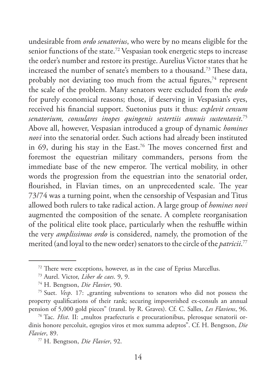undesirable from *ordo senatorius*, who were by no means eligible for the senior functions of the state.72 Vespasian took energetic steps to increase the order's number and restore its prestige. Aurelius Victor states that he increased the number of senate's members to a thousand.73 These data, probably not deviating too much from the actual figures, $74$  represent the scale of the problem. Many senators were excluded from the *ordo* for purely economical reasons; those, if deserving in Vespasian's eyes, received his financial support. Suetonius puts it thus: *explevit censum senatorium, consulares inopes quingenis sestertiis annuis sustentavit*. 75 Above all, however, Vespasian introduced a group of dynamic *homines novi* into the senatorial order. Such actions had already been instituted in 69, during his stay in the East.<sup>76</sup> The moves concerned first and foremost the equestrian military commanders, persons from the immediate base of the new emperor. The vertical mobility, in other words the progression from the equestrian into the senatorial order, flourished, in Flavian times, on an unprecedented scale. The year 73/74 was a turning point, when the censorship of Vespasian and Titus allowed both rulers to take radical action. A large group of *homines novi* augmented the composition of the senate. A complete reorganisation of the political elite took place, particularly when the reshuffle within the very *amplissimus ordo* is considered, namely, the promotion of the merited (and loyal to the new order) senators to the circle of the *patricii*. 77

<sup>72</sup> There were exceptions, however, as in the case of Eprius Marcellus. 73 Aurel. Victor, *Liber de caes*. 9, 9.

<sup>74</sup> H. Bengtson, *Die Flavier*, 90.

<sup>&</sup>lt;sup>75</sup> Suet. *Vesp.* 17: "granting subventions to senators who did not possess the property qualifications of their rank; securing impoverished ex-consuls an annual pension of 5,000 gold pieces" (transl. by R. Graves). Cf. C. Salles, *Les Flaviens*, 96.

<sup>&</sup>lt;sup>76</sup> Tac. *Hist*. II: "multos praefecturis e procurationibus, plerosque senatorii ordinis honore percoluit, egregios viros et mox summa adeptos". Cf. H. Bengtson, *Die Flavier*, 89.

<sup>77</sup> H. Bengtson, *Die Flavier*, 92.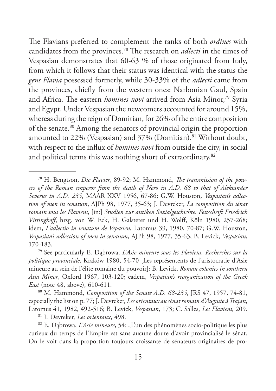The Flavians preferred to complement the ranks of both *ordines* with candidates from the provinces.78 The research on *adlecti* in the times of Vespasian demonstrates that 60-63 % of those originated from Italy, from which it follows that their status was identical with the status the *gens Flavia* possessed formerly, while 30-33% of the *adlecti* came from the provinces, chiefly from the western ones: Narbonian Gaul, Spain and Africa. The eastern *homines novi* arrived from Asia Minor,<sup>79</sup> Syria and Egypt. Under Vespasian the newcomers accounted for around 15%, whereas during the reign of Domitian, for 26% of the entire composition of the senate.80 Among the senators of provincial origin the proportion amounted to 22% (Vespasian) and 37% (Domitian).<sup>81</sup> Without doubt, with respect to the influx of *homines novi* from outside the city, in social and political terms this was nothing short of extraordinary.<sup>82</sup>

<sup>80</sup> M. Hammond, *Composition of the Senate A.D. 68-235*, JRS 47, 1957, 74-81, especially the list on p. 77; J. Devreker, *Les orientaux au sénat romain d'Auguste à Trajan*, Latomus 41, 1982, 492-516; B. Levick, *Vespasian*, 173; C. Salles, *Les Flaviens*, 209.

<sup>82</sup> E. Dąbrowa, *L'Asie mineure*, 54: "L'un des phénomènes socio-politique les plus curieux du temps de l'Empire est sans aucune doute d'avoir provincialisé le sénat. On le voit dans la proportion toujours croissante de sénateurs originaires de pro-

<sup>78</sup> H. Bengtson, *Die Flavier*, 89-92; M. Hammond, *The transmission of the pow*ers of the Roman emperor from the death of Nero in A.D. 68 to that of Aleksander *Severus in A.D. 235*, MAAR XXV 1956, 67-86; G.W. Houston, *Vespasian's adlection of men in senatum*, AJPh 98, 1977, 35-63; J. Devreker, *La composition du sénat romain sous les Flaviens*, [in:] *Studien zur antiken Sozialgeschichte. Festschrift Friedrich Vittinghoff*, hrsg. von W. Eck, H. Galsterer und H. Wolff, Köln 1980, 257-268; idem, *L'adlectio in senatum de Vepasien*, Latomus 39, 1980, 70-87; G.W. Houston, *Vespasian's adlection of men in senatum*, AJPh 98, 1977, 35-63; B. Levick, *Vespasian*, 170-183.

<sup>79</sup> See particularly E. Dąbrowa, *L'Asie mineure sous les Flaviens. Recherches sur la politique provinciale*, Kraków 1980, 54-70 [Les représentents de l'aristocratie d'Asie mineure au sein de l'élite romaine du pouvoir]; B. Levick, *Roman colonies in southern Asia Minor*, Oxford 1967, 103-120; eadem, *Vespasian's reorganization of the Greek East* (note 48, above), 610-611.

<sup>81</sup> J. Devreker, *Les orientaux*, 498.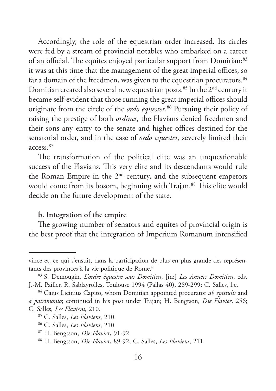Accordingly, the role of the equestrian order increased. Its circles were fed by a stream of provincial notables who embarked on a career of an official. The equites enjoyed particular support from Domitian:<sup>83</sup> it was at this time that the management of the great imperial offices, so far a domain of the freedmen, was given to the equestrian procurators.<sup>84</sup> Domitian created also several new equestrian posts.<sup>85</sup> In the 2<sup>nd</sup> century it became self-evident that those running the great imperial offices should originate from the circle of the *ordo equester*. 86 Pursuing their policy of raising the prestige of both *ordines*, the Flavians denied freedmen and their sons any entry to the senate and higher offices destined for the senatorial order, and in the case of *ordo equester*, severely limited their access.87

The transformation of the political elite was an unquestionable success of the Flavians. This very elite and its descendants would rule the Roman Empire in the 2nd century, and the subsequent emperors would come from its bosom, beginning with Trajan.<sup>88</sup> This elite would decide on the future development of the state.

#### **b. Integration of the empire**

The growing number of senators and equites of provincial origin is the best proof that the integration of Imperium Romanum intensified

vince et, ce qui s'ensuit, dans la participation de plus en plus grande des représentants des provinces à la vie politique de Rome."

<sup>83</sup> S. Demougin, *L'ordre équestre sous Domitien*, [in:] *Les Années Domitien*, eds. J.-M. Pailler, R. Sablayrolles, Toulouse 1994 (Pallas 40), 289-299; C. Salles, l.c.

<sup>84</sup> Caius Licinius Capito, whom Domitian appointed procurator *ab epistulis* and *a patrimonio*; continued in his post under Trajan; H. Bengtson, *Die Flavier*, 256; C. Salles, *Les Flaviens*, 210.

<sup>85</sup> C. Salles, *Les Flaviens*, 210.

<sup>86</sup> C. Salles, *Les Flaviens*, 210.

<sup>87</sup> H. Bengtson, *Die Flavier*, 91-92.

<sup>88</sup> H. Bengtson, *Die Flavier*, 89-92; C. Salles, *Les Flaviens*, 211.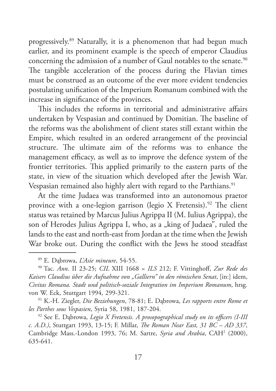progressively.89 Naturally, it is a phenomenon that had begun much earlier, and its prominent example is the speech of emperor Claudius concerning the admission of a number of Gaul notables to the senate.<sup>90</sup> The tangible acceleration of the process during the Flavian times must be construed as an outcome of the ever more evident tendencies postulating unification of the Imperium Romanum combined with the increase in significance of the provinces.

This includes the reforms in territorial and administrative affairs undertaken by Vespasian and continued by Domitian. The baseline of the reforms was the abolishment of client states still extant within the Empire, which resulted in an ordered arrangement of the provincial structure. The ultimate aim of the reforms was to enhance the management efficacy, as well as to improve the defence system of the frontier territories. This applied primarily to the eastern parts of the state, in view of the situation which developed after the Jewish War. Vespasian remained also highly alert with regard to the Parthians.<sup>91</sup>

At the time Judaea was transformed into an autonomous praetor province with a one-legion garrison (legio X Fretensis).<sup>92</sup> The client status was retained by Marcus Julius Agrippa II (M. Iulius Agrippa), the son of Herodes Julius Agrippa I, who, as a "king of Judaea", ruled the lands to the east and north-east from Jordan at the time when the Jewish War broke out. During the conflict with the Jews he stood steadfast

<sup>89</sup> E. Dąbrowa, *L'Asie mineure*, 54-55.

<sup>90</sup> Tac. *Ann*. II 23-25; *CIL* XIII 1668 = *ILS* 212; F. Vittinghoff, *Zur Rede des Kaisers Claudius über die Aufnahme von "Galliern" in den römischen Senat*, [in:] idem, *Civitas Romana. Stadt und politisch-soziale Integration im Imperium Romanum*, hrsg. von W. Eck, Stuttgart 1994, 299-321.

<sup>91</sup> K.-H. Ziegler, *Die Beziehungen*, 78-81; E. Dąbrowa, *Les rapports entre Rome et les Parthes sous Vespasien*, Syria 58, 1981, 187-204. 92 See E. Dąbrowa, *Legio X Fretensis. A prosopographical study on its officers (I-III* 

*c. A.D.)*, Stuttgart 1993, 13-15; F. Millar, *The Roman Near East, 31 BC – AD 337*, Cambridge Mass.-London 1993, 76; M. Sartre, Syria and Arabia, CAH<sup>2</sup> (2000), 635-641.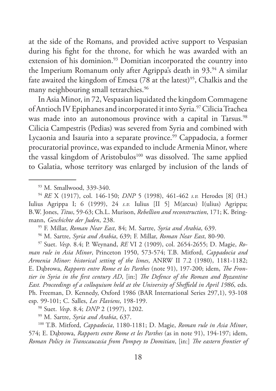at the side of the Romans, and provided active support to Vespasian during his fight for the throne, for which he was awarded with an extension of his dominion.<sup>93</sup> Domitian incorporated the country into the Imperium Romanum only after Agrippa's death in 93.<sup>94</sup> A similar fate awaited the kingdom of Emesa  $(78$  at the latest)<sup>95</sup>, Chalkis and the many neighbouring small tetrarchies.<sup>96</sup>

In Asia Minor, in 72, Vespasian liquidated the kingdom Commagene of Antioch IV Epiphanes and incorporated it into Syria.<sup>97</sup> Cilicia Trachea was made into an autonomous province with a capital in Tarsus.<sup>98</sup> Cilicia Campestris (Pedias) was severed from Syria and combined with Lycaonia and Isauria into a separate province.<sup>99</sup> Cappadocia, a former procuratorial province, was expanded to include Armenia Minor, where the vassal kingdom of Aristobulos<sup>100</sup> was dissolved. The same applied to Galatia, whose territory was enlarged by inclusion of the lands of

<sup>93</sup> M. Smallwood, 339-340. 94 *RE* X (1917), col. 146-150; *DNP* 5 (1998), 461-462 *s.v.* Herodes [8] (H.) Iulius Agrippa I; 6 (1999), 24 *s.v.* Iulius [II 5] M(arcus) I(ulius) Agrippa; B.W. Jones, *Titus*, 59-63; Ch.L. Murison, *Rebellion and reconstruction*, 171; K. Bringmann, *Geschichte der Juden*, 238.

<sup>95</sup> F. Millar, *Roman Near East*, 84; M. Sartre, *Syria and Arabia*, 639.

<sup>96</sup> M. Sartre, *Syria and Arabia*, 639; F. Millar, *Roman Near East*, 80-90.

<sup>97</sup> Suet. *Vesp*. 8.4; P. Weynand, *RE* VI 2 (1909), col. 2654-2655; D. Magie, *Roman rule in Asia Minor*, Princeton 1950, 573-574; T.B. Mitford, *Cappadocia and Armenia Minor: historical setting of the limes*, ANRW II 7.2 (1980), 1181-1182; E. Dąbrowa, *Rapports entre Rome et les Parthes* (note 91), 197-200; idem, *The Frontier in Syria in the first century AD*, [in:] *The Defence of the Roman and Byzantine East. Proceedings of a colloquium held at the University of Sheffield in April 1986*, eds. Ph. Freeman, D. Kennedy, Oxford 1986 (BAR International Series 297,1), 93-108 esp. 99-101; C. Salles, *Les Flaviens*, 198-199.

<sup>98</sup> Suet. *Vesp*. 8.4; *DNP* 2 (1997), 1202.

<sup>99</sup> M. Sartre, *Syria and Arabia*, 637.

<sup>100</sup> T.B. Mitford, *Cappadocia*, 1180-1181; D. Magie, *Roman rule in Asia Minor*, 574; E. Dąbrowa, *Rapports entre Rome et les Parthes* (as in note 91), 194-197; idem, *Roman Policy in Transcaucasia from Pompey to Domitian*, [in:] *The eastern frontier of*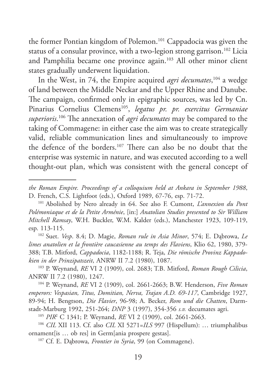the former Pontian kingdom of Polemon.101 Cappadocia was given the status of a consular province, with a two-legion strong garrison.<sup>102</sup> Licia and Pamphilia became one province again.<sup>103</sup> All other minor client states gradually underwent liquidation.

In the West, in 74, the Empire acquired *agri decumates*, 104 a wedge of land between the Middle Neckar and the Upper Rhine and Danube. The campaign, confirmed only in epigraphic sources, was led by Cn. Pinarius Cornelius Clemens105, *legatus pr. pr. exercitus Germaniae superioris*. 106 The annexation of *agri decumates* may be compared to the taking of Commagene: in either case the aim was to create strategically valid, reliable communication lines and simultaneously to improve the defence of the borders.107 There can also be no doubt that the enterprise was systemic in nature, and was executed according to a well thought-out plan, which was consistent with the general concept of

<sup>102</sup> Suet. *Vesp*. 8.4; D. Magie, *Roman rule in Asia Minor*, 574; E. Dąbrowa, *Le limes anatolien et la frontière caucasienne au temps des Flaviens*, Klio 62, 1980, 379- 388; T.B. Mitford, *Cappadocia*, 1182-1188; R. Teja, *Die römische Provinz Kappadokien in der Prinzipatszeit*, ANRW II 7.2 (1980), 1087.

<sup>103</sup> P. Weynand, *RE* VI 2 (1909), col. 2683; T.B. Mitford, *Roman Rough Cilicia*, ANRW II 7.2 (1980), 1247.

<sup>104</sup> P. Weynand, *RE* VI 2 (1909), col. 2661-2663; B.W. Henderson, *Five Roman emperors: Vespasian, Titus, Domitian, Nerva, Trajan A.D. 69-117*, Cambridge 1927, 89-94; H. Bengtson, *Die Flavier*, 96-98; A. Becker, *Rom und die Chatten*, Darmstadt-Marburg 1992, 251-264; *DNP* 3 (1997), 354-356 *s.v.* decumates agri.

<sup>105</sup> *PIR*<sup>2</sup> C 1341; P. Weynand, *RE* VI 2 (1909), col. 2661-2663.

<sup>106</sup> *CIL* XII 113. Cf. also *CIL* XI 5271=*ILS* 997 (Hispellum): … triumphalibus ornament[is … ob res] in Germ[ania prospere gestas].

<sup>107</sup> Cf. E. Dąbrowa, *Frontier in Syria*, 99 (on Commagene).

*the Roman Empire. Proceedings of a colloquium held at Ankara in September 1988*, D. French, C.S. Lightfoot (eds.), Oxford 1989, 67-76, esp. 71-72.

<sup>101</sup> Abolished by Nero already in 64. See also F. Cumont, *L'annexion du Pont Polémoniaque et de la Petite Arménie*, [in:] *Anatolian Studies presented to Sir William Mitchell Ramsay*, W.H. Buckler, W.M. Kalder (eds.), Manchester 1923, 109-119, esp. 113-115.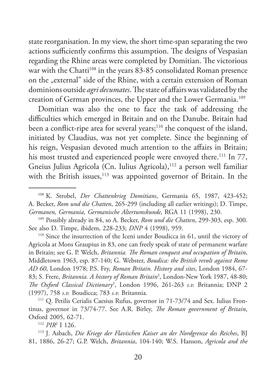state reorganisation. In my view, the short time-span separating the two actions sufficiently confirms this assumption. The designs of Vespasian regarding the Rhine areas were completed by Domitian. The victorious war with the Chatti<sup>108</sup> in the years 83-85 consolidated Roman presence on the "external" side of the Rhine, with a certain extension of Roman dominions outside *agri decumates*. The state of affairs was validated by the creation of German provinces, the Upper and the Lower Germania.109

Domitian was also the one to face the task of addressing the difficulties which emerged in Britain and on the Danube. Britain had been a conflict-ripe area for several years;<sup>110</sup> the conquest of the island, initiated by Claudius, was not yet complete. Since the beginning of his reign, Vespasian devoted much attention to the affairs in Britain; his most trusted and experienced people were envoyed there.<sup>111</sup> In 77, Gneius Julius Agricola (Cn. Iulius Agricola),<sup>112</sup> a person well familiar with the British issues, $113$  was appointed governor of Britain. In the

<sup>108</sup> K. Strobel, *Der Chattenkrieg Domitians*, Germania 65, 1987, 423-452; A. Becker, *Rom und die Chatten*, 265-299 (including all earlier writings); D. Timpe, *Germanen, Germania, Germanische Altertumskunde,* RGA 11 (1998), 230.

<sup>109</sup> Possibly already in 84, so A. Becker, *Rom und die Chatten*, 299-303, esp. 300. See also D. Timpe, ibidem, 228-233; *DNP* 4 (1998), 959.

<sup>110</sup> Since the insurrection of the Iceni under Boudicca in 61, until the victory of Agricola at Mons Graupius in 83, one can freely speak of state of permanent warfare in Britain; see G. P. Welch, *Britannia. The Roman conquest and occupation of Britain*, Middletown 1963, esp. 87-140; G. Webster, *Boudica: the British revolt against Rome AD 60*, London 1978; P.S. Fry, *Roman Britain. History and sites*, London 1984, 67- 83; S. Frere, *Britannia. A history of Roman Britain*<sup>3</sup> , London-New York 1987, 48-80; *The Oxford Classical Dictionary*<sup>3</sup> , London 1996, 261-263 *s.v.* Britannia; DNP 2 (1997), 758 *s.v.* Boudicca; 783 *s.v.* Britannia. 111 Q. Petilis Cerialis Caesius Rufus, governor in 71-73/74 and Sex. Iulius Fron-

tinus, governor in 73/74-77. See A.R. Birley, *The Roman government of Britain*, Oxford 2005, 62-71.

<sup>&</sup>lt;sup>112</sup> *PIR*<sup>2</sup> I 126.

<sup>&</sup>lt;sup>113</sup> J. Asbach, *Die Kriege der Flavischen Kaiser an der Nordgrenze des Reiches*, BJ 81, 1886, 26-27; G.P. Welch, *Britannia*, 104-140; W.S. Hanson, *Agricola and the*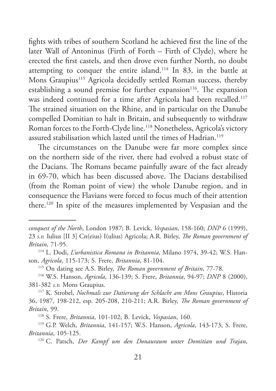fights with tribes of southern Scotland he achieved first the line of the later Wall of Antoninus (Firth of Forth – Firth of Clyde), where he erected the first castels, and then drove even further North, no doubt attempting to conquer the entire island.114 In 83, in the battle at Mons Graupius<sup>115</sup> Agricola decidedly settled Roman success, thereby establishing a sound premise for further expansion<sup>116</sup>. The expansion was indeed continued for a time after Agricola had been recalled.<sup>117</sup> The strained situation on the Rhine, and in particular on the Danube compelled Domitian to halt in Britain, and subsequently to withdraw Roman forces to the Forth-Clyde line.<sup>118</sup> Nonetheless, Agricola's victory assured stabilisation which lasted until the times of Hadrian.<sup>119</sup>

The circumstances on the Danube were far more complex since on the northern side of the river, there had evolved a robust state of the Dacians. The Romans became painfully aware of the fact already in 69-70, which has been discussed above. The Dacians destabilised (from the Roman point of view) the whole Danube region, and in consequence the Flavians were forced to focus much of their attention there.120 In spite of the measures implemented by Vespasian and the

son, *Agricola*, 115-173; S. Frere, *Britannia*, 81-104.

<sup>115</sup> On dating see A.S. Birley, *The Roman government of Britain*, 77-78.

<sup>116</sup> W.S. Hanson, *Agricola*, 136-139; S. Frere, *Britannia*, 94-97; *DNP* 8 (2000), 381-382 *s.v.* Mons Graupius.

<sup>117</sup> K. Strobel, *Nochmals zur Datierung der Schlacht am Mons Graupius*, Historia 36, 1987, 198-212, esp. 205-208, 210-211; A.R. Birley, *The Roman government of Britain*, 99.

<sup>118</sup> S. Frere, *Britannia*, 101-102; B. Levick, *Vespasian*, 160.

*conquest of the North*, London 1987; B. Levick, *Vespasian*, 158-160; *DNP* 6 (1999), 23 *s.v.* Iulius [II 3] Cn(eius) I(ulius) Agricola; A.R. Birley, *The Roman government of Britain*, 71-95. 114 L. Dodi, *L'urbanistica Romana in Britannia*, Milano 1974, 39-42; W.S. Han-

<sup>119</sup> G.P. Welch, *Britannia*, 141-157; W.S. Hanson, *Agricola*, 143-173; S. Frere, *Britannia*, 105-125.

<sup>120</sup> C. Patsch, *Der Kampf um den Donauraum unter Domitian und Trajan*,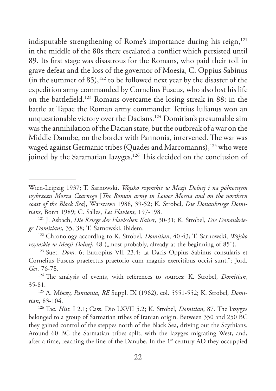indisputable strengthening of Rome's importance during his reign,<sup>121</sup> in the middle of the 80s there escalated a conflict which persisted until 89. Its first stage was disastrous for the Romans, who paid their toll in grave defeat and the loss of the governor of Moesia, C. Oppius Sabinus (in the summer of  $85$ ),<sup>122</sup> to be followed next year by the disaster of the expedition army commanded by Cornelius Fuscus, who also lost his life on the battlefield.123 Romans overcame the losing streak in 88: in the battle at Tapae the Roman army commander Tettius Iulianus won an unquestionable victory over the Dacians.124 Domitian's presumable aim was the annihilation of the Dacian state, but the outbreak of a war on the Middle Danube, on the border with Pannonia, intervened. The war was waged against Germanic tribes (Quades and Marcomanns),<sup>125</sup> who were joined by the Saramatian Iazyges.<sup>126</sup> This decided on the conclusion of

Wien-Leipzig 1937; T. Sarnowski, *Wojsko rzymskie w Mezji Dolnej i na północnym wybrzeżu Morza Czarnego* [*The Roman army in Lower Moesia and on the northern coast of the Black Sea*], Warszawa 1988, 39-52; K. Strobel, *Die Donaukriege Domitians*, Bonn 1989; C. Salles, *Les Flaviens*, 197-198.

<sup>121</sup> J. Asbach, *Die Kriege der Flavischen Kaiser*, 30-31; K. Strobel, *Die Donaukriege Domitians*, 35, 38; T. Sarnowski, ibidem.

<sup>122</sup> Chronology according to K. Strobel, *Domitian*, 40-43; T. Sarnowski, *Wojsko rzymskie w Mezji Dolnej*, 48 ("most probably, already at the beginning of 85").<br><sup>123</sup> Suet. *Dom*. 6; Eutropius VII 23.4: "a Dacis Oppius Sabinus consularis et

Cornelius Fuscus praefectus praetorio cum magnis exercitibus occisi sunt."; Jord. *Get*. 76-78.

<sup>124</sup> The analysis of events, with references to sources: K. Strobel, *Domitian*, 35-81.

<sup>125</sup> A. Mócsy, *Pannonia*, *RE* Suppl. IX (1962), col. 5551-552; K. Strobel, *Domitian*, 83-104.

<sup>126</sup> Tac. *Hist*. I 2.1; Cass. Dio LXVII 5.2; K. Strobel, *Domitian*, 87. The Iazyges belonged to a group of Sarmatian tribes of Iranian origin. Between 350 and 250 BC they gained control of the steppes north of the Black Sea, driving out the Scythians. Around 60 BC the Sarmatian tribes split, with the Iazyges migrating West, and, after a time, reaching the line of the Danube. In the  $1<sup>st</sup>$  century AD they occuppied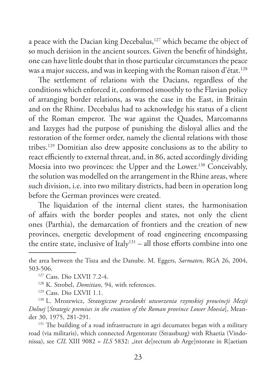a peace with the Dacian king Decebalus,<sup>127</sup> which became the object of so much derision in the ancient sources. Given the benefit of hindsight, one can have little doubt that in those particular circumstances the peace was a major success, and was in keeping with the Roman raison d'état.<sup>128</sup>

The settlement of relations with the Dacians, regardless of the conditions which enforced it, conformed smoothly to the Flavian policy of arranging border relations, as was the case in the East, in Britain and on the Rhine. Decebalus had to acknowledge his status of a client of the Roman emperor. The war against the Quades, Marcomanns and Iazyges had the purpose of punishing the disloyal allies and the restoration of the former order, namely the cliental relations with those tribes.129 Domitian also drew apposite conclusions as to the ability to react efficiently to external threat, and, in 86, acted accordingly dividing Moesia into two provinces: the Upper and the Lower.<sup>130</sup> Conceivably, the solution was modelled on the arrangement in the Rhine areas, where such division, i.e. into two military districts, had been in operation long before the German provinces were created.

The liquidation of the internal client states, the harmonisation of affairs with the border peoples and states, not only the client ones (Parthia), the demarcation of frontiers and the creation of new provinces, energetic development of road engineering encompassing the entire state, inclusive of Italy<sup>131</sup> – all those efforts combine into one

<sup>131</sup> The building of a road infrastructure in agri decumates began with a military road (via militaris), which connected Argentorate (Strassburg) with Rhaetia (Vindonissa), see *CIL* XIII 9082 = *ILS* 5832: "iter de<sup>[rectum ab Arge]ntorate in R[aetiam]</sup>

the area between the Tisza and the Danube. M. Eggers, *Sarmaten*, RGA 26, 2004, 503-506.

<sup>127</sup> Cass. Dio LXVII 7.2-4.

<sup>&</sup>lt;sup>128</sup> K. Strobel, *Domitian*, 94, with references.<br><sup>129</sup> Cass. Dio LXVII 1.1.

<sup>130</sup> L. Mrozewicz, *Strategiczne przesłanki utworzenia rzymskiej prowincji Mezji Dolnej* [*Strategic premises in the creation of the Roman province Lower Moesia*], Meander 30, 1975, 281-291.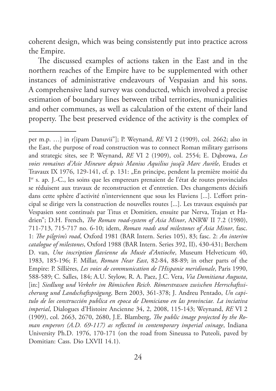coherent design, which was being consistently put into practice across the Empire.

The discussed examples of actions taken in the East and in the northern reaches of the Empire have to be supplemented with other instances of administrative endeavours of Vespasian and his sons. A comprehensive land survey was conducted, which involved a precise estimation of boundary lines between tribal territories, municipalities and other communes, as well as calculation of the extent of their land property. The best preserved evidence of the activity is the complex of

per m.p. …] in r[ipam Danuvii"]; P. Weynand, *RE* VI 2 (1909), col. 2662; also in the East, the purpose of road construction was to connect Roman military garrisons and strategic sites, see P. Weynand, *RE* VI 2 (1909), col. 2554; E. Dąbrowa, *Les voies romaines d'Asie Mineure depuis Manius Aquilius jusq'à Marc Aurèle*, Etudes et Travaux IX 1976, 129-141, cf. p. 131: "En principe, pendent la première moitié du I er s. ap. J.-C., les soins que les empereurs prenaient de l'état de routes provinciales se réduisent aux travaux de reconstruction et d'entretien. Des changements décisifs dans cette sphère d'activité n'interviennent que sous les Flaviens [...]. L'effort principal se dirige vers la construction de nouvelles routes [...]. Les travaux esquissés par Vespasien sont continués par Titus et Domitien, ensuite par Nerva, Trajan et Hadrien"; D.H. French, *The Roman road-system of Asia Minor*, ANRW II 7.2 (1980), 711-713, 715-717 no. 6-10; idem, *Roman roads and milestones of Asia Minor*, fasc. 1: *The pilgrim's road*, Oxford 1981 (BAR Intern. Series 105), 83; fasc. 2: *An interim catalogue of milestones*, Oxford 1988 (BAR Intern. Series 392, II), 430-431; Berchem D. van, *Une inscription flavienne du Musée d'Antioche*, Museum Helveticum 40, 1983, 185-196; F. Millar, *Roman Near East*, 82-84, 88-89; in other parts of the Empire: P. Sillières, *Les voies de communication de l'Hispanie meridionale*, Paris 1990, 588-589; C. Salles, 184; A.U. Stylow, R. A. Paez, J.C. Vera, *Via Domitiana Augusta*, [in:] *Siedlung und Verkehr im Römischen Reich. Römerstrassen zwischen Herrschaftssicherung und Landschaftsprägung*, Bern 2003, 361-378; J. Andreu Pentado, *Un capitulo de los construcción publica en epoca de Domiciano en las provinciae. La inciativa imperial*, Dialogues d'Histoire Ancienne 34, 2, 2008, 115-143; Weynand, *RE* VI 2 (1909), col. 2663, 2670, 2680, J.E. Blamberg, *The public image projected by the Roman emperors (A.D. 69-117) as reflected in contemporary imperial coinage*, Indiana University Ph.D. 1976, 170-171 (on the road from Sineussa to Puteoli, paved by Domitian: Cass. Dio LXVII 14.1).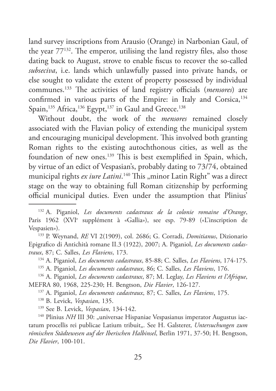land survey inscriptions from Arausio (Orange) in Narbonian Gaul, of the year 77132. The emperor, utilising the land registry files, also those dating back to August, strove to enable fiscus to recover the so-called *subseciva*, i.e. lands which unlawfully passed into private hands, or else sought to validate the extent of property possessed by individual communes.133 The activities of land registry officials (*mensores*) are confirmed in various parts of the Empire: in Italy and Corsica,<sup>134</sup> Spain,<sup>135</sup> Africa,<sup>136</sup> Egypt,<sup>137</sup> in Gaul and Greece.<sup>138</sup>

Without doubt, the work of the *mensores* remained closely associated with the Flavian policy of extending the municipal system and encouraging municipal development. This involved both granting Roman rights to the existing autochthonous cities, as well as the foundation of new ones.139 This is best exemplified in Spain, which, by virtue of an edict of Vespasian's, probably dating to 73/74, obtained municipal rights *ex iure Latini*.<sup>140</sup> This "minor Latin Right" was a direct stage on the way to obtaining full Roman citizenship by performing official municipal duties. Even under the assumption that Plinius'

Epigrafico di Antichità romane II.3 (1922), 2007; A. Piganiol, *Les documents cadastraux*, 87; C. Salles, *Les Flaviens*, 173.

<sup>134</sup> A. Piganiol, *Les documents cadastraux*, 85-88; C. Salles, *Les Flaviens*, 174-175.

<sup>135</sup> A. Piganiol, *Les documents cadastraux*, 86; C. Salles, *Les Flaviens*, 176.

<sup>136</sup> A. Piganiol, *Les documents cadastraux*, 87; M. Leglay, *Les Flaviens et l'Afrique*, MEFRA 80, 1968, 225-230; H. Bengtson, *Die Flavier*, 126-127.

<sup>137</sup> A. Piganiol, *Les documents cadastraux*, 87; C. Salles, *Les Flaviens*, 175.

<sup>138</sup> B. Levick, *Vespasian*, 135.

<sup>139</sup> See B. Levick, *Vespasian*, 134-142.

<sup>140</sup> Plinius *NH* III 30: "universae Hispaniae Vespasianus imperator Augustus iactatum procellis rei publicae Latium tribuit". See H. Galsterer, *Untersuchungen zum römischen Städtewesen auf der Iberischen Halbinsel*, Berlin 1971, 37-50; H. Bengtson, *Die Flavier*, 100-101.

<sup>132</sup> A. Piganiol, *Les documents cadastraux de la colonie romaine d'Orange*, Paris 1962 (XVIe supplément à «Gallia»), see esp. 79-89 («L'inscription de Vespasien»). 133 P. Weynand, *RE* VI 2(1909), col. 2686; G. Corradi, *Domitianus*, Dizionario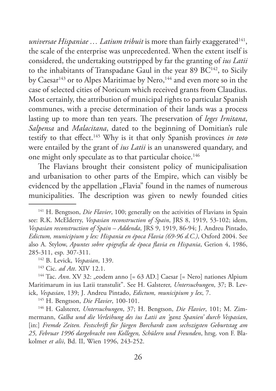*universae Hispaniae ... Latium tribuit* is more than fairly exaggerated<sup>141</sup>, the scale of the enterprise was unprecedented. When the extent itself is considered, the undertaking outstripped by far the granting of *ius Latii* to the inhabitants of Transpadane Gaul in the year 89  $BC^{142}$ , to Sicily by Caesar<sup>143</sup> or to Alpes Maritimae by Nero,<sup>144</sup> and even more so in the case of selected cities of Noricum which received grants from Claudius. Most certainly, the attribution of municipal rights to particular Spanish communes, with a precise determination of their lands was a process lasting up to more than ten years. The preservation of *leges Irnitana*, *Salpensa* and *Malacitana*, dated to the beginning of Domitian's rule testify to that effect.145 Why is it that only Spanish provinces *in toto*  were entailed by the grant of *ius Latii* is an unanswered quandary, and one might only speculate as to that particular choice.<sup>146</sup>

The Flavians brought their consistent policy of municipalisation and urbanisation to other parts of the Empire, which can visibly be evidenced by the appellation "Flavia" found in the names of numerous municipalities. The description was given to newly founded cities

<sup>145</sup> H. Bengtson, *Die Flavier*, 100-101.

<sup>146</sup> H. Galsterer, *Untersuchungen*, 37; H. Bengtson, *Die Flavier*, 101; M. Zimmermann, *Galba und die Verleihung des ius Latii an 'ganz Spanien' durch Vespasian*, [in:] *Fremde Zeiten. Festschrift für Jürgen Borchardt zum sechszigsten Geburtstag am 25, Februar 1996 dargebracht von Kollegen, Schülern und Freunden*, hrsg. von F. Blakolmer *et alii*, Bd. II, Wien 1996, 243-252.

<sup>&</sup>lt;sup>141</sup> H. Bengtson, *Die Flavier*, 100; generally on the activities of Flavians in Spain see: R.K. McElderry, *Vespasian reconstruction of Spain*, JRS 8, 1919, 53-102; idem, *Vespasian reconstruction of Spain – Addenda*, JRS 9, 1919, 86-94; J. Andreu Pintado, *Edictum, municipium y lex: Hispania en época Flavia (69-96 d.C.)*, Oxford 2004. See also A. Stylow, *Apuntes sobre epigrafia de época flavia en Hispania*, Gerion 4, 1986, 285-311, esp. 307-311. 142 B. Levick, *Vespasian*, 139.

<sup>143</sup> Cic. *ad Att*. XIV 12.1.

<sup>&</sup>lt;sup>144</sup> Tac. *Ann*. XV 32: "eodem anno [= 63 AD.] Caesar [= Nero] nationes Alpium Maritimarum in ius Latii transtulit". See H. Galsterer, *Untersuchungen*, 37; B. Levick, *Vespasian*, 139; J. Andreu Pintado, *Edictum, municipium y lex*, 7.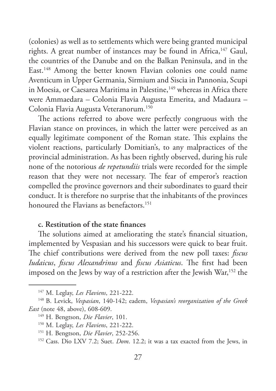(colonies) as well as to settlements which were being granted municipal rights. A great number of instances may be found in Africa,<sup>147</sup> Gaul, the countries of the Danube and on the Balkan Peninsula, and in the East.148 Among the better known Flavian colonies one could name Aventicum in Upper Germania, Sirmium and Siscia in Pannonia, Scupi in Moesia, or Caesarea Maritima in Palestine,<sup>149</sup> whereas in Africa there were Ammaedara – Colonia Flavia Augusta Emerita, and Madaura – Colonia Flavia Augusta Veteranorum.150

The actions referred to above were perfectly congruous with the Flavian stance on provinces, in which the latter were perceived as an equally legitimate component of the Roman state. This explains the violent reactions, particularly Domitian's, to any malpractices of the provincial administration. As has been rightly observed, during his rule none of the notorious *de repetundiis* trials were recorded for the simple reason that they were not necessary. The fear of emperor's reaction compelled the province governors and their subordinates to guard their conduct. It is therefore no surprise that the inhabitants of the provinces honoured the Flavians as benefactors<sup>151</sup>

### **c. Restitution of the state finances**

The solutions aimed at ameliorating the state's financial situation, implemented by Vespasian and his successors were quick to bear fruit. The chief contributions were derived from the new poll taxes: *fiscus Iudaicus*, *fiscus Alexandrinus* and *fiscus Asiaticus*. The first had been imposed on the Jews by way of a restriction after the Jewish War,<sup>152</sup> the

<sup>147</sup> M. Leglay, *Les Flaviens*, 221-222.

<sup>148</sup> B. Levick, *Vespasian*, 140-142; eadem, *Vespasian's reorganization of the Greek East* (note 48, above), 608-609.

<sup>149</sup> H. Bengtson, *Die Flavier*, 101.

<sup>150</sup> M. Leglay, *Les Flaviens*, 221-222.

<sup>151</sup> H. Bengtson, *Die Flavier*, 252-256.

<sup>152</sup> Cass. Dio LXV 7.2; Suet. *Dom*. 12.2; it was a tax exacted from the Jews, in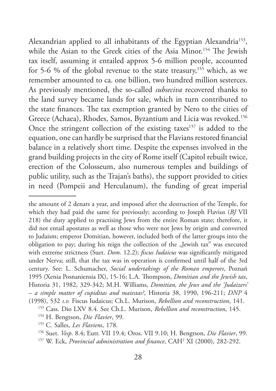Alexandrian applied to all inhabitants of the Egyptian Alexandria<sup>153</sup>, while the Asian to the Greek cities of the Asia Minor.<sup>154</sup> The Jewish tax itself, assuming it entailed approx 5-6 million people, accounted for 5-6 % of the global revenue to the state treasury,<sup>155</sup> which, as we remember amounted to ca. one billion, two hundred million sesterces. As previously mentioned, the so-called *subseciva* recovered thanks to the land survey became lands for sale, which in turn contributed to the state finances. The tax exemption granted by Nero to the cities of Greece (Achaea), Rhodes, Samos, Byzantium and Licia was revoked.156 Once the stringent collection of the existing taxes<sup>157</sup> is added to the equation, one can hardly be surprised that the Flavians restored financial balance in a relatively short time. Despite the expenses involved in the grand building projects in the city of Rome itself (Capitol rebuilt twice, erection of the Colosseum, also numerous temples and buildings of public utility, such as the Trajan's baths), the support provided to cities in need (Pompeii and Herculanum), the funding of great imperial

the amount of 2 denars a year, and imposed after the destruction of the Temple, for which they had paid the same fee previously; according to Joseph Flavius (*BJ* VII 218) the duty applied to practising Jews from the entire Roman state; therefore, it did not entail apostates as well as those who were not Jews by origin and converted to Judaism; emperor Domitian, however, included both of the latter groups into the obligation to pay; during his reign the collection of the "Jewish tax" was executed with extreme strictness (Suet. *Dom*. 12.2); *fiscus Iudaicus* was significantly mitigated under Nerva; still, that the tax was in operation is confirmed until half of the 3rd century. See: L. Schumacher, *Social undertakings of the Roman emperors*, Poznań 1995 (Xenia Posnaniensia IX), 15-16; L.A. Thompson, *Domitian and the Jewish tax*, Historia 31, 1982, 329-342; M.H. Williams, *Domitian, the Jews and the 'Judaizers' – a simple matter of cupiditas and maiestas?*, Historia 38, 1990, 196-211; *DNP* 4 (1998), 532 *s.v.* Fiscus Iudaicus; Ch.L. Murison, *Rebellion and reconstruction*, 141.

<sup>153</sup> Cass. Dio LXV 8.4. See Ch.L. Murison, *Rebellion and reconstruction*, 145.

<sup>154</sup> H. Bengtson, *Die Flavier*, 99.

<sup>155</sup> C. Salles, *Les Flaviens*, 178.

<sup>156</sup> Suet. *Vesp*. 8.4; Eutr. VII 19.4; Oros. VII 9.10; H. Bengtson, *Die Flavier*, 99.

<sup>157</sup> W. Eck, *Provincial administration and finance*, CAH2 XI (2000), 282-292.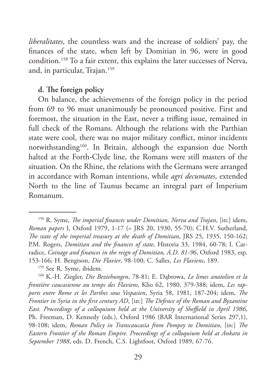*liberalitates*, the countless wars and the increase of soldiers' pay, the finances of the state, when left by Domitian in 96, were in good condition.158 To a fair extent, this explains the later successes of Nerva, and, in particular, Trajan.159

#### **d. The foreign policy**

On balance, the achievements of the foreign policy in the period from 69 to 96 must unanimously be pronounced positive. First and foremost, the situation in the East, never a trifling issue, remained in full check of the Romans. Although the relations with the Parthian state were cool, there was no major military conflict, minor incidents notwithstanding<sup>160</sup>. In Britain, although the expansion due North halted at the Forth-Clyde line, the Romans were still masters of the situation. On the Rhine, the relations with the Germans were arranged in accordance with Roman intentions, while *agri decumates*, extended North to the line of Taunus became an integral part of Imperium Romanum.

<sup>158</sup> R. Syme, *The imperial finances under Domitian, Nerva and Trajan*, [in:] idem, *Roman papers* I, Oxford 1979, 1-17 (= JRS 20, 1930, 55-70); C.H.V. Sutherland, *The state of the imperial treasury at the death of Domitian*, JRS 25, 1935, 150-162; P.M. Rogers, *Domitian and the finances of state*, Historia 33, 1984, 60-78; I. Carradice, *Coinage and finances in the reign of Domitian, A.D. 81-96*, Oxford 1983, esp. 153-166; H. Bengtson, *Die Flavier*, 98-100; C. Salles, *Les Flaviens*, 189.

<sup>159</sup> See R. Syme, ibidem.

<sup>160</sup> K.-H. Ziegler, *Die Beziehungen*, 78-81; E. Dąbrowa, *Le limes anatolien et la frontière caucasienne au temps des Flaviens*, Klio 62, 1980, 379-388; idem, *Les rapports entre Rome et les Parthes sous Vespasien*, Syria 58, 1981, 187-204; idem, *The Frontier in Syria in the first century AD*, [in:] *The Defence of the Roman and Byzantine East. Proceedings of a colloquium held at the University of Sheffield in April 1986*, Ph. Freeman, D. Kennedy (eds.), Oxford 1986 (BAR International Series 297,1), 98-108; idem, *Roman Policy in Transcaucasia from Pompey to Domitian*, [in:] *The Eastern Frontier of the Roman Empire. Proceedings of a colloquium held at Ankara in September 1988*, eds. D. French, C.S. Lightfoot, Oxford 1989, 67-76.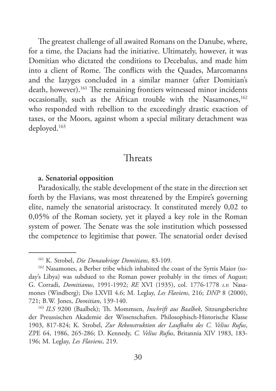The greatest challenge of all awaited Romans on the Danube, where, for a time, the Dacians had the initiative. Ultimately, however, it was Domitian who dictated the conditions to Decebalus, and made him into a client of Rome. The conflicts with the Quades, Marcomanns and the Iazyges concluded in a similar manner (after Domitian's death, however).<sup>161</sup> The remaining frontiers witnessed minor incidents occasionally, such as the African trouble with the Nasamones,<sup>162</sup> who responded with rebellion to the exceedingly drastic exaction of taxes, or the Moors, against whom a special military detachment was deployed.163

## Threats

#### **a. Senatorial opposition**

Paradoxically, the stable development of the state in the direction set forth by the Flavians, was most threatened by the Empire's governing elite, namely the senatorial aristocracy. It constituted merely 0,02 to 0,05% of the Roman society, yet it played a key role in the Roman system of power. The Senate was the sole institution which possessed the competence to legitimise that power. The senatorial order devised

<sup>161</sup> K. Strobel, *Die Donaukriege Domitians*, 83-109.

<sup>162</sup> Nasamones, a Berber tribe which inhabited the coast of the Syrtis Maior (today's Libya) was subdued to the Roman power probably in the times of August; G. Corradi, *Domitianus*, 1991-1992; *RE* XVI (1935), col. 1776-1778 *s.v.* Nasamones (Windberg); Dio LXVII 4.6; M. Leglay, *Les Flaviens*, 216; *DNP* 8 (2000), 721; B.W. Jones, *Domitian*, 139-140.

<sup>163</sup> *ILS* 9200 (Baalbek); Th. Mommsen, *Inschrift aus Baalbek*, Sitzungsberichte der Preussischen Akademie der Wissenschaften. Philosophisch-Historische Klasse 1903, 817-824; K. Strobel, *Zur Rekonstruktion der Laufbahn des C. Velius Rufus*, ZPE 64, 1986, 265-286; D. Kennedy, *C. Velius Rufus*, Britannia XIV 1983, 183- 196; M. Leglay, *Les Flaviens*, 219.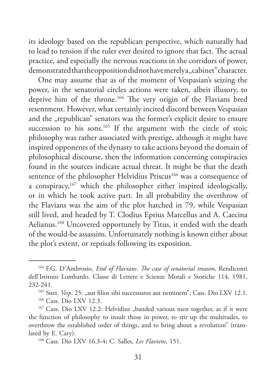its ideology based on the republican perspective, which naturally had to lead to tension if the ruler ever desired to ignore that fact. The actual practice, and especially the nervous reactions in the corridors of power, demonstrated that the opposition did not have merely a "cabinet" character.

One may assume that as of the moment of Vespasian's seizing the power, in the senatorial circles actions were taken, albeit illusory, to deprive him of the throne.164 The very origin of the Flavians bred resentment. However, what certainly incited discord between Vespasian and the "republican" senators was the former's explicit desire to ensure succession to his sons.<sup>165</sup> If the argument with the circle of stoic philosophy was rather associated with prestige, although it might have inspired opponents of the dynasty to take actions beyond the domain of philosophical discourse, then the information concerning conspiracies found in the sources indicate actual threat. It might be that the death sentence of the philosopher Helvidius Priscus<sup>166</sup> was a consequence of a conspiracy, $167$  which the philosopher either inspired ideologically, or in which he took active part. In all probability the overthrow of the Flavians was the aim of the plot hatched in 79, while Vespasian still lived, and headed by T. Clodius Eprius Marcellus and A. Caecina Aelianus.<sup>168</sup> Uncovered opportunely by Titus, it ended with the death of the would-be assassins. Unfortunately nothing is known either about the plot's extent, or reprisals following its exposition.

<sup>164</sup> F.G. D'Ambrosio, *End of Flavians. The case of senatorial treason*, Rendiconti dell'Istituto Lombardo. Classe di Lettere e Scienze Morali e Storiche 114, 1981, 232-241.

<sup>&</sup>lt;sup>165</sup> Suet. *Vesp.* 25: "aut filios sibi successuros aut neminem"; Cass. Dio LXV 12.1.

<sup>166</sup> Cass. Dio LXV 12.3.

<sup>&</sup>lt;sup>167</sup> Cass. Dio LXV 12.2: Helvidius "banded various men together, as if it were the function of philosophy to insult those in power, to stir up the multitudes, to overthrow the established order of things, and to bring about a revolution" (translated by E. Cary).

<sup>168</sup> Cass. Dio LXV 16.3-4; C. Salles, *Les Flaviens*, 151.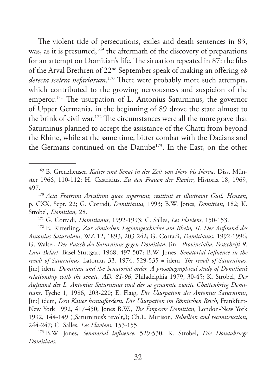The violent tide of persecutions, exiles and death sentences in 83, was, as it is presumed,<sup>169</sup> the aftermath of the discovery of preparations for an attempt on Domitian's life. The situation repeated in 87: the files of the Arval Brethren of 22nd September speak of making an offering *ob detecta scelera nefariorum*. 170 There were probably more such attempts, which contributed to the growing nervousness and suspicion of the emperor.171 The usurpation of L. Antonius Saturninus, the governor of Upper Germania, in the beginning of 89 drove the state almost to the brink of civil war.172 The circumstances were all the more grave that Saturninus planned to accept the assistance of the Chatti from beyond the Rhine, while at the same time, bitter combat with the Dacians and the Germans continued on the Danube<sup>173</sup>. In the East, on the other

<sup>171</sup> G. Corradi, *Domitianus*, 1992-1993; C. Salles, *Les Flaviens*, 150-153.

<sup>172</sup> E. Ritterling, *Zur römischen Legionsgeschichte am Rhein, II. Der Aufstand des Antonius Saturninus*, WZ 12, 1893, 203-242; G. Corradi, *Domitianus*, 1992-1996; G. Walser, *Der Putsch des Saturninus gegen Domitian*, [in:] *Provincialia. Festschrift R. Laur-Belart*, Basel-Stuttgart 1968, 497-507; B.W. Jones, *Senatorial influence in the revolt of Saturninus*, Latomus 33, 1974, 529-535 = idem, *The revolt of Saturninus*, [in:] idem, *Domitian and the Senatorial order. A prosopographical study of Domitian's relationship with the senate, AD. 81-96*, Philadelphia 1979, 30-45; K. Strobel, *Der Aufstand des L. Antonius Saturninus und der so genannte zweite Chattenkrieg Domitians*, Tyche 1, 1986, 203-220; E. Flaig, *Die Usurpation des Antonius Saturninus*, [in:] idem, *Den Kaiser herausfordern. Die Usurpation im Römischen Reich*, Frankfurt-New York 1992, 417-450; Jones B.W., *The Emperor Domitian*, London-New York 1992, 144-149 ("Saturninus's revolt"); Ch.L. Murison, *Rebellion and reconstruction*, 244-247; C. Salles, *Les Flaviens*, 153-155.

<sup>173</sup> B.W. Jones, *Senatorial influence*, 529-530; K. Strobel, *Die Donaukriege Domitians*.

<sup>169</sup> B. Grenzheuser, *Kaiser und Senat in der Zeit von Nero bis Nerva*, Diss. Münster 1966, 110-112; H. Castritius, *Zu den Frauen der Flavier*, Historia 18, 1969,

<sup>497.170</sup> *Acta Fratrum Arvalium quae supersunt, restituit et illustravit Guil. Henzen*, p. CXX, Sept. 22; G. Corradi, *Domitianus*, 1993; B.W. Jones, *Domitian*, 182; K. Strobel, *Domitian*, 28.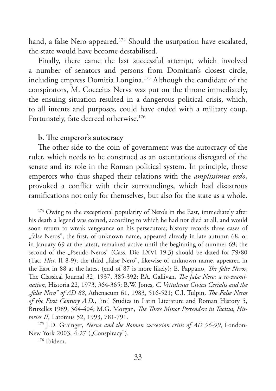hand, a false Nero appeared.<sup>174</sup> Should the usurpation have escalated, the state would have become destabilised.

Finally, there came the last successful attempt, which involved a number of senators and persons from Domitian's closest circle, including empress Domitia Longina.<sup>175</sup> Although the candidate of the conspirators, M. Cocceius Nerva was put on the throne immediately, the ensuing situation resulted in a dangerous political crisis, which, to all intents and purposes, could have ended with a military coup. Fortunately, fate decreed otherwise.<sup>176</sup>

#### **b. The emperor's autocracy**

The other side to the coin of government was the autocracy of the ruler, which needs to be construed as an ostentatious disregard of the senate and its role in the Roman political system. In principle, those emperors who thus shaped their relations with the *amplissimus ordo*, provoked a conflict with their surroundings, which had disastrous ramifications not only for themselves, but also for the state as a whole.

<sup>&</sup>lt;sup>174</sup> Owing to the exceptional popularity of Nero's in the East, immediately after his death a legend was coined, according to which he had not died at all, and would soon return to wreak vengeance on his persecutors; history records three cases of "false Neros"; the first, of unknown name, appeared already in late autumn 68, or in January 69 at the latest, remained active until the beginning of summer 69; the second of the "Pseudo-Neros" (Cass. Dio LXVI 19.3) should be dated for 79/80 (Tac. *Hist*. II 8-9); the third "false Nero", likewise of unknown name, appeared in the East in 88 at the latest (end of 87 is more likely); E. Pappano, *The false Neros*, The Classical Journal 32, 1937, 385-392; P.A. Gallivan, *The false Nero: a re-examination*, Historia 22, 1973, 364-365; B.W. Jones, *C. Vettulenus Civica Cerialis and the "false Nero" of AD 88*, Athenaeum 61, 1983, 516-521; C.J. Tulpin, *The False Neros of the First Century A.D.*, [in:] Studies in Latin Literature and Roman History 5, Bruxelles 1989, 364-404; M.G. Morgan, *The Three Minor Pretenders in Tacitus, Histories II*, Latomus 52, 1993, 781-791.

<sup>175</sup> J.D. Grainger, *Nerva and the Roman succession crisis of AD 96-99*, London-New York 2003, 4-27 ("Conspiracy").

<sup>176</sup> Ibidem.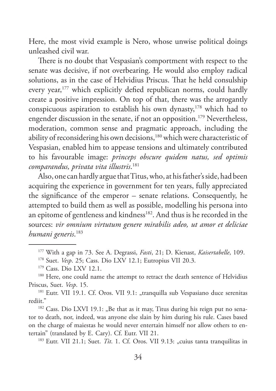Here, the most vivid example is Nero, whose unwise political doings unleashed civil war.

There is no doubt that Vespasian's comportment with respect to the senate was decisive, if not overbearing. He would also employ radical solutions, as in the case of Helvidius Priscus. That he held consulship every year,<sup>177</sup> which explicitly defied republican norms, could hardly create a positive impression. On top of that, there was the arrogantly conspicuous aspiration to establish his own dynasty,178 which had to engender discussion in the senate, if not an opposition.<sup>179</sup> Nevertheless, moderation, common sense and pragmatic approach, including the ability of reconsidering his own decisions,<sup>180</sup> which were characteristic of Vespasian, enabled him to appease tensions and ultimately contributed to his favourable image: *princeps obscure quidem natus, sed optimis comparandus, privata vita illustris*. 181

Also, one can hardly argue that Titus, who, at his father's side, had been acquiring the experience in government for ten years, fully appreciated the significance of the emperor – senate relations. Consequently, he attempted to build them as well as possible, modelling his persona into an epitome of gentleness and kindness<sup>182</sup>. And thus is he recorded in the sources: *vir omnium virtutum genere mirabilis adeo, ut amor et deliciae humani generis*. 183

<sup>182</sup> Cass. Dio LXVI 19.1: "Be that as it may, Titus during his reign put no senator to death, nor, indeed, was anyone else slain by him during his rule. Cases based on the charge of maiestas he would never entertain himself nor allow others to entertain" (translated by E. Cary). Cf. Eutr. VII 21.

 $183$  Eutr. VII 21.1; Suet. *Tit.* 1. Cf. Oros. VII 9.13: "cuius tanta tranquilitas in

<sup>177</sup> With a gap in 73. See A. Degrassi, *Fasti*, 21; D. Kienast, *Kaisertabelle*, 109.

<sup>178</sup> Suet. *Vesp*. 25; Cass. Dio LXV 12.1; Eutropius VII 20.3.

<sup>179</sup> Cass. Dio LXV 12.1.

<sup>&</sup>lt;sup>180</sup> Here, one could name the attempt to retract the death sentence of Helvidius Priscus, Suet. *Vesp*. 15.

<sup>&</sup>lt;sup>181</sup> Eutr. VII 19.1. Cf. Oros. VII 9.1: "tranquilla sub Vespasiano duce serenitas rediit"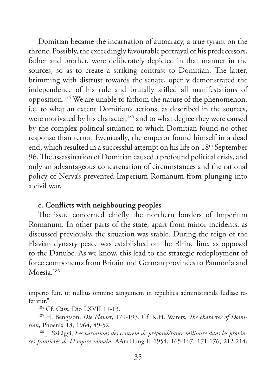Domitian became the incarnation of autocracy, a true tyrant on the throne. Possibly, the exceedingly favourable portrayal of his predecessors, father and brother, were deliberately depicted in that manner in the sources, so as to create a striking contrast to Domitian. The latter, brimming with distrust towards the senate, openly demonstrated the independence of his rule and brutally stifled all manifestations of opposition.184 We are unable to fathom the nature of the phenomenon, i.e. to what an extent Domitian's actions, as described in the sources, were motivated by his character,<sup>185</sup> and to what degree they were caused by the complex political situation to which Domitian found no other response than terror. Eventually, the emperor found himself in a dead end, which resulted in a successful attempt on his life on 18<sup>th</sup> September 96. The assassination of Domitian caused a profound political crisis, and only an advantageous concatenation of circumstances and the rational policy of Nerva's prevented Imperium Romanum from plunging into a civil war.

#### **c. Conflicts with neighbouring peoples**

The issue concerned chiefly the northern borders of Imperium Romanum. In other parts of the state, apart from minor incidents, as discussed previously, the situation was stable. During the reign of the Flavian dynasty peace was established on the Rhine line, as opposed to the Danube. As we know, this lead to the strategic redeployment of force components from Britain and German provinces to Pannonia and  $M$ oesia.<sup>186</sup>

imperio fuit, ut nullius omnino sanguinem in republica administranda fudisse referatur."

<sup>184</sup> Cf. Cass. Dio LXVII 11-13.

<sup>185</sup> H. Bengtson, *Die Flavier*, 179-193. Cf. K.H. Waters, *The character of Domitian*, Phoenix 18, 1964, 49-52.

<sup>186</sup> J. Szilágyi, *Les variations des centrem de prépondérance militaire dans les provinces frontières de l'Empire romain*, AAntHung II 1954, 165-167, 171-176, 212-214;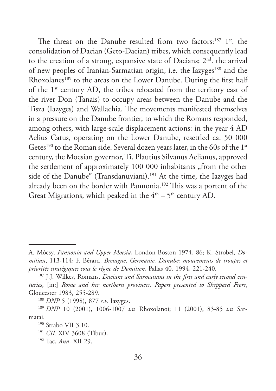The threat on the Danube resulted from two factors:<sup>187</sup> 1<sup>st</sup>. the consolidation of Dacian (Geto-Dacian) tribes, which consequently lead to the creation of a strong, expansive state of Dacians;  $2<sup>nd</sup>$ . the arrival of new peoples of Iranian-Sarmatian origin, i.e. the Iazyges<sup>188</sup> and the Rhoxolanes<sup>189</sup> to the areas on the Lower Danube. During the first half of the 1<sup>st</sup> century AD, the tribes relocated from the territory east of the river Don (Tanais) to occupy areas between the Danube and the Tisza (Iazyges) and Wallachia. The movements manifested themselves in a pressure on the Danube frontier, to which the Romans responded, among others, with large-scale displacement actions: in the year 4 AD Aelius Catus, operating on the Lower Danube, resettled ca. 50 000 Getes<sup>190</sup> to the Roman side. Several dozen years later, in the 60s of the 1<sup>st</sup> century, the Moesian governor, Ti. Plautius Silvanus Aelianus, approved the settlement of approximately 100 000 inhabitants "from the other side of the Danube" (Transdanuviani).<sup>191</sup> At the time, the Iazyges had already been on the border with Pannonia.<sup>192</sup> This was a portent of the Great Migrations, which peaked in the  $4<sup>th</sup> - 5<sup>th</sup>$  century AD.

A. Mócsy, *Pannonia and Upper Moesia*, London-Boston 1974, 86; K. Strobel, *Domitian*, 113-114; F. Bérard, *Bretagne, Germanie, Danube: mouvements de troupes et priorités stratégiques sous le règne de Domitien*, Pallas 40, 1994, 221-240.

<sup>187</sup> J.J. Wilkes, Romans, *Dacians and Sarmatians in the first and early second centuries*, [in:] *Rome and her northern provinces. Papers presented to Sheppard Frere*, Gloucester 1983, 255-289.

<sup>188</sup> *DNP* 5 (1998), 877 *s.v.* Iazyges.

<sup>189</sup> *DNP* 10 (2001), 1006-1007 *s.v.* Rhoxolanoi; 11 (2001), 83-85 *s.v.* Sarmatai.

<sup>&</sup>lt;sup>190</sup> Strabo VII 3.10.

<sup>191</sup> *CIL* XIV 3608 (Tibur). 192 Tac. *Ann*. XII 29.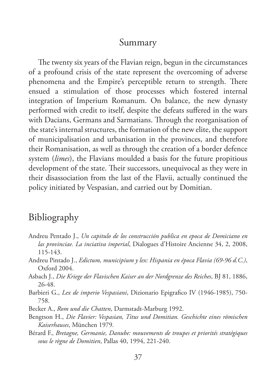## Summary

The twenty six years of the Flavian reign, begun in the circumstances of a profound crisis of the state represent the overcoming of adverse phenomena and the Empire's perceptible return to strength. There ensued a stimulation of those processes which fostered internal integration of Imperium Romanum. On balance, the new dynasty performed with credit to itself, despite the defeats suffered in the wars with Dacians, Germans and Sarmatians. Through the reorganisation of the state's internal structures, the formation of the new elite, the support of municipalisation and urbanisation in the provinces, and therefore their Romanisation, as well as through the creation of a border defence system (*limes*), the Flavians moulded a basis for the future propitious development of the state. Their successors, unequivocal as they were in their disassociation from the last of the Flavii, actually continued the policy initiated by Vespasian, and carried out by Domitian.

## Bibliography

- Andreu Pentado J., *Un capitulo de los construcción publica en epoca de Domiciano en las provinciae. La inciativa imperial*, Dialogues d'Histoire Ancienne 34, 2, 2008, 115-143.
- Andreu Pintado J., *Edictum, municipium y lex: Hispania en época Flavia (69-96 d.C.)*, Oxford 2004.
- Asbach J., *Die Kriege der Flavischen Kaiser an der Nordgrenze des Reiches*, BJ 81, 1886, 26-48.
- Barbieri G., *Lex de imperio Vespasiani*, Dizionario Epigrafico IV (1946-1985), 750- 758.
- Becker A., *Rom und die Chatten*, Darmstadt-Marburg 1992.
- Bengtson H., *Die Flavier: Vespasian, Titus und Domitian. Geschichte eines römischen Kaiserhauses*, München 1979.
- Bérard F., *Bretagne, Germanie, Danube: mouvements de troupes et priorités stratégiques sous le règne de Domitien*, Pallas 40, 1994, 221-240.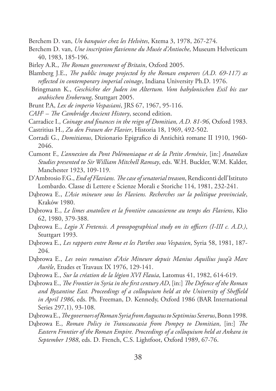Berchem D. van, *Un banquier chez les Helvètes*, Ktema 3, 1978, 267-274.

- Berchem D. van, *Une inscription flavienne du Musée d'Antioche*, Museum Helveticum 40, 1983, 185-196.
- Birley A.R., *The Roman government of Britain*, Oxford 2005.
- Blamberg J.E., *The public image projected by the Roman emperors (A.D. 69-117) as reflected in contemporary imperial coinage*, Indiana University Ph.D. 1976.
- Bringmann K., *Geschichte der Juden im Altertum. Vom babylonischen Exil bis zur arabischen Eroberung*, Stuttgart 2005.
- Brunt P.A, *Lex de imperio Vespasiani*, JRS 67, 1967, 95-116.
- *CAH*<sup>2</sup> – *The Cambridge Ancient History*, second edition.
- Carradice I., *Coinage and finances in the reign of Domitian, A.D. 81-96*, Oxford 1983.
- Castritius H., *Zu den Frauen der Flavier*, Historia 18, 1969, 492-502.
- Corradi G., *Domitianus*, Dizionario Epigrafico di Antichità romane II 1910, 1960- 2046.
- Cumont F., *L'annexion du Pont Polémoniaque et de la Petite Arménie*, [in:] *Anatolian Studies presented to Sir William Mitchell Ramsay*, eds. W.H. Buckler, W.M. Kalder, Manchester 1923, 109-119.
- D'Ambrosio F.G., *End of Flavians. The case of senatorial treason*, Rendiconti dell'Istituto Lombardo. Classe di Lettere e Scienze Morali e Storiche 114, 1981, 232-241.
- Dąbrowa E., *L'Asie mineure sous les Flaviens. Recherches sur la politique provinciale*, Kraków 1980.
- Dąbrowa E., *Le limes anatolien et la frontière caucasienne au temps des Flaviens*, Klio 62, 1980, 379-388.
- Dąbrowa E., *Legio X Fretensis. A prosopographical study on its officers (I-III c. A.D.)*, Stuttgart 1993.
- Dąbrowa E., *Les rapports entre Rome et les Parthes sous Vespasien*, Syria 58, 1981, 187- 204.
- Dąbrowa E., *Les voies romaines d'Asie Mineure depuis Manius Aquilius jusq'à Marc Aurèle*, Etudes et Travaux IX 1976, 129-141.
- Dąbrowa E., *Sur la création de la légion XVI Flauia*, Latomus 41, 1982, 614-619.
- Dąbrowa E., *The Frontier in Syria in the first century AD*, [in:] *The Defence of the Roman and Byzantine East. Proceedings of a colloquium held at the University of Sheffield in April 1986*, eds. Ph. Freeman, D. Kennedy, Oxford 1986 (BAR International Series 297,1), 93-108.
- Dąbrowa E., *The governors of Roman Syria from Augustus to Septimius Severus*, Bonn 1998.
- Dąbrowa E., *Roman Policy in Transcaucasia from Pompey to Domitian*, [in:] *The Eastern Frontier of the Roman Empire. Proceedings of a colloquium held at Ankara in September 1988*, eds. D. French, C.S. Lightfoot, Oxford 1989, 67-76.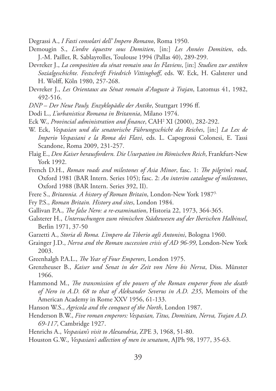Degrassi A., *I Fasti consolari dell' Impero Romano*, Roma 1950.

- Demougin S., *L'ordre équestre sous Domitien*, [in:] *Les Années Domitien*, eds. J.-M. Pailler, R. Sablayrolles, Toulouse 1994 (Pallas 40), 289-299.
- Devreker J., *La composition du sénat romain sous les Flaviens*, [in:] *Studien zur antiken Sozialgeschichte. Festschrift Friedrich Vittinghoff*, eds. W. Eck, H. Galsterer und H. Wolff, Köln 1980, 257-268.
- Devreker J., *Les Orientaux au Sénat romain d'Auguste à Trajan*, Latomus 41, 1982, 492-516.
- *DNP Der Neue Pauly. Enzyklopädie der Antike*, Stuttgart 1996 ff.
- Dodi L., *L'urbanistica Romana in Britannia*, Milano 1974.
- Eck W., *Provincial administration and finance*, CAH2 XI (2000), 282-292.
- W. Eck, *Vespasian und die senatorische Führungsschicht des Reiches*, [in:] *La Lex de Imperio Vespasiani e la Roma dei Flavi*, eds. L. Capogrossi Colonesi, E. Tassi Scandone, Roma 2009, 231-257.
- Flaig E., *Den Kaiser herausfordern. Die Usurpation im Römischen Reich*, Frankfurt-New York 1992.
- French D.H., *Roman roads and milestones of Asia Minor*, fasc. 1: *The pilgrim's road*, Oxford 1981 (BAR Intern. Series 105); fasc. 2: *An interim catalogue of milestones*, Oxford 1988 (BAR Intern. Series 392, II).
- Frere S., *Britannia. A history of Roman Britain*, London-New York 19873.
- Fry P.S., *Roman Britain. History and sites*, London 1984.
- Gallivan P.A., *The false Nero: a re-examination*, Historia 22, 1973, 364-365.
- Galsterer H., *Untersuchungen zum römischen Städtewesen auf der Iberischen Halbinsel*, Berlin 1971, 37-50
- Garzetti A., *Storia di Roma. L'impero da Tiberio agli Antonini*, Bologna 1960.
- Grainger J.D., *Nerva and the Roman succession crisis of AD 96-99*, London-New York 2003.
- Greenhalgh P.A.L., *The Year of Four Emperors*, London 1975.
- Grenzheuser B., *Kaiser und Senat in der Zeit von Nero bis Nerva*, Diss. Münster 1966.
- Hammond M., *The transmission of the powers of the Roman emperor from the death of Nero in A.D. 68 to that of Aleksander Severus in A.D. 235*, Memoirs of the American Academy in Rome XXV 1956, 61-133.
- Hanson W.S., *Agricola and the conquest of the North*, London 1987.
- Henderson B.W., *Five roman emperors: Vespasian, Titus, Domitian, Nerva, Trajan A.D. 69-117*, Cambridge 1927.
- Henrichs A., *Vespasian's visit to Alexandria*, ZPE 3, 1968, 51-80.
- Houston G.W., *Vespasian's adlection of men in senatum*, AJPh 98, 1977, 35-63.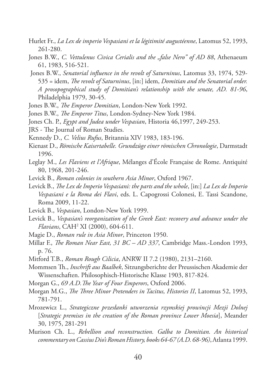- Hurlet Fr., *La Lex de imperio Vespasiani et la légitimité augustéenne*, Latomus 52, 1993, 261-280.
- Jones B.W., *C. Vettulenus Civica Cerialis and the "false Nero" of AD 88*, Athenaeum 61, 1983, 516-521.
- Jones B.W., *Senatorial influence in the revolt of Saturninus*, Latomus 33, 1974, 529- 535 = idem, *The revolt of Saturninus*, [in:] idem, *Domitian and the Senatorial order. A prosopographical study of Domitian's relationship with the senate, AD. 81-96*, Philadelphia 1979, 30-45.
- Jones B.W., *The Emperor Domitian*, London-New York 1992.
- Jones B.W., *The Emperor Titus*, London-Sydney-New York 1984.
- Jones Ch. P., *Egypt and Judea under Vespasian*, Historia 46,1997, 249-253.
- JRS The Journal of Roman Studies.
- Kennedy D., *C. Velius Rufus*, Britannia XIV 1983, 183-196.
- Kienast D., *Römische Kaisertabelle. Grundzüge einer römischen Chronologie*, Darmstadt 1996.
- Leglay M., *Les Flaviens et l'Afrique*, Mélanges d'École Française de Rome. Antiquité 80, 1968, 201-246.
- Levick B., *Roman colonies in southern Asia Minor*, Oxford 1967.
- Levick B., *The Lex de Imperio Vespasiani: the parts and the whole*, [in:] *La Lex de Imperio Vespasiani e la Roma dei Flavi*, eds. L. Capogrossi Colonesi, E. Tassi Scandone, Roma 2009, 11-22.
- Levick B., *Vespasian*, London-New York 1999.
- Levick B., *Vespasian's reorganization of the Greek East: recovery and advance under the Flavians*, CAH2 XI (2000), 604-611.
- Magie D., *Roman rule in Asia Minor*, Princeton 1950.
- Millar F., *The Roman Near East, 31 BC AD 337*, Cambridge Mass.-London 1993, p. 76.
- Mitford T.B., *Roman Rough Cilicia*, ANRW II 7.2 (1980), 2131–2160.
- Mommsen Th., *Inschrift aus Baalbek*, Sitzungsberichte der Preussischen Akademie der Wissenschaften. Philosophisch-Historische Klasse 1903, 817-824.
- Morgan G., *69 A.D.The Year of Four Emperors*, Oxford 2006.
- Morgan M.G., *The Three Minor Pretenders in Tacitus, Histories II*, Latomus 52, 1993, 781-791.
- Mrozewicz L., *Strategiczne przesłanki utworzenia rzymskiej prowincji Mezji Dolnej* [*Strategic premises in the creation of the Roman province Lower Moesia*], Meander 30, 1975, 281-291
- Murison Ch. L., *Rebellion and reconstruction. Galba to Domitian. An historical commentary on Cassius Dio's Roman History, books 64-67 (A.D. 68-96)*, Atlanta 1999.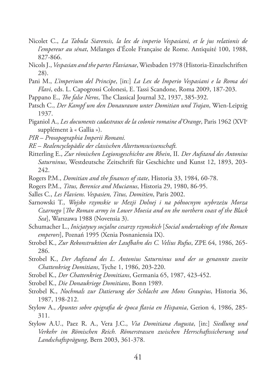- Nicolet C., *La Tabula Siarensis, la lex de imperio Vespasiani, et le jus relationis de l'empereur au sénat*, Mélanges d'École Française de Rome. Antiquité 100, 1988, 827-866.
- Nicols J., *Vespasian and the partes Flavianae*, Wiesbaden 1978 (Historia-Einzelschriften 28).
- Pani M., *L'imperium del Principe*, [in:] *La Lex de Imperio Vespasiani e la Roma dei Flavi*, eds. L. Capogrossi Colonesi, E. Tassi Scandone, Roma 2009, 187-203.
- Pappano E., *The false Neros*, The Classical Journal 32, 1937, 385-392.
- Patsch C., *Der Kampf um den Donauraum unter Domitian und Trajan*, Wien-Leipzig 1937.
- Piganiol A., *Les documents cadastraux de la colonie romaine d'Orange*, Paris 1962 (XVIe supplément à « Gallia »).
- *PIR Prosopographia Imperii Romani.*
- *RE Realencyclopädie der classischen Altertumswissenschaft.*
- Ritterling E., *Zur römischen Legionsgeschichte am Rhein*, II. *Der Aufstand des Antonius Saturninus*, Westdeutsche Zeitschrift für Geschichte und Kunst 12, 1893, 203- 242.
- Rogers P.M., *Domitian and the finances of state*, Historia 33, 1984, 60-78.
- Rogers P.M., *Titus, Berenice and Mucianus*, Historia 29, 1980, 86-95.
- Salles C., *Les Flaviens. Vespasien, Titus, Domitien*, Paris 2002.
- Sarnowski T., *Wojsko rzymskie w Mezji Dolnej i na północnym wybrzeżu Morza Czarnego* [*The Roman army in Lower Moesia and on the northern coast of the Black Sea*], Warszawa 1988 (Novensia 3).
- Schumacher L., *Inicjatywy socjalne cesarzy rzymskich* [*Social undertakings of the Roman emperors*], Poznań 1995 (Xenia Posnaniensia IX).
- Strobel K., *Zur Rekonstruktion der Laufbahn des C. Velius Rufus*, ZPE 64, 1986, 265- 286.
- Strobel K., *Der Aufstand des L. Antonius Saturninus und der so genannte zweite Chattenkrieg Domitians*, Tyche 1, 1986, 203-220.
- Strobel K., *Der Chattenkrieg Domitians*, Germania 65, 1987, 423-452.
- Strobel K., *Die Donaukriege Domitians*, Bonn 1989.
- Strobel K., *Nochmals zur Datierung der Schlacht am Mons Graupius*, Historia 36, 1987, 198-212.
- Stylow A., *Apuntes sobre epigrafia de época flavia en Hispania*, Gerion 4, 1986, 285- 311.
- Stylow A.U., Paez R. A., Vera J.C., *Via Domitiana Augusta*, [in:] *Siedlung und Verkehr im Römischen Reich. Römerstrassen zwischen Herrschaftssicherung und Landschaftsprägung*, Bern 2003, 361-378.